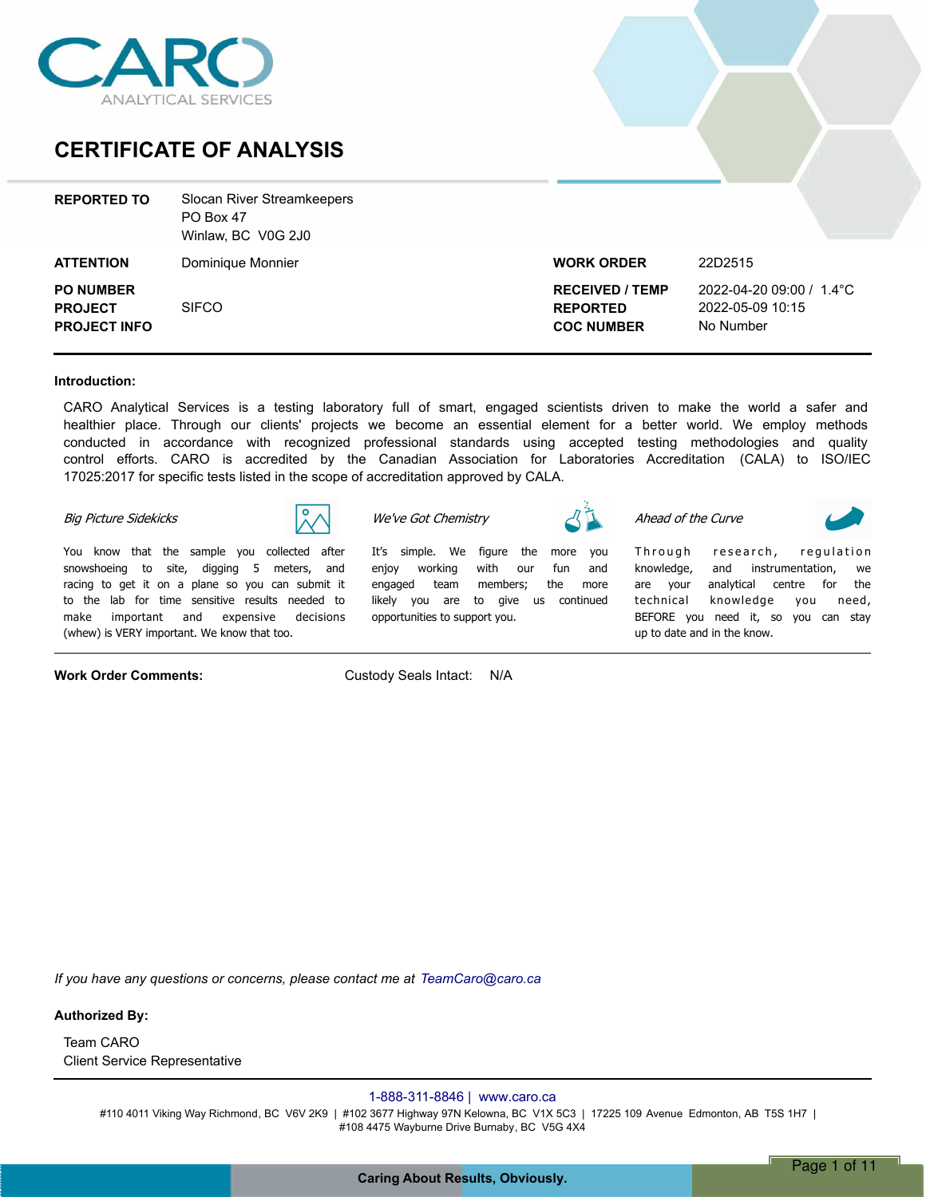

### **CERTIFICATE OF ANALYSIS**

| <b>REPORTED TO</b>                                        | Slocan River Streamkeepers<br>PO Box 47<br>Winlaw, BC V0G 2J0 |                                                                |                                                           |
|-----------------------------------------------------------|---------------------------------------------------------------|----------------------------------------------------------------|-----------------------------------------------------------|
| <b>ATTENTION</b>                                          | Dominique Monnier                                             | <b>WORK ORDER</b>                                              | 22D2515                                                   |
| <b>PO NUMBER</b><br><b>PROJECT</b><br><b>PROJECT INFO</b> | <b>SIFCO</b>                                                  | <b>RECEIVED / TEMP</b><br><b>REPORTED</b><br><b>COC NUMBER</b> | 2022-04-20 09:00 / 1.4°C<br>2022-05-09 10:15<br>No Number |

### **Introduction:**

CARO Analytical Services is a testing laboratory full of smart, engaged scientists driven to make the world a safer and healthier place. Through our clients' projects we become an essential element for a better world. We employ methods conducted in accordance with recognized professional standards using accepted testing methodologies and quality control efforts. CARO is accredited by the Canadian Association for Laboratories Accreditation (CALA) to ISO/IEC 17025:2017 for specific tests listed in the scope of accreditation approved by CALA.

> *Itís simple. We figure the more you enjoy working with our fun and engaged team members; the more likely you are to give us continued*

#### *Big Picture Sidekicks*



*You know that the sample you collected after snowshoeing to site, digging 5 meters, and racing to get it on a plane so you can submit it to the lab for time sensitive results needed to make important and expensive decisions (whew) is VERY important. We know that too.*

**Work Order Comments:** Custody Seals Intact: N/A

*opportunities to support you.*

*We've Got Chemistry*

*Ahead of the Curve*

Through research, regulation *knowledge, and instrumentation, we are your analytical centre for the technical knowledge you need, BEFORE you need it, so you can stay up to date and in the know.*

*If you have any questions or concerns, please contact me at TeamCaro@caro.ca*

### **Authorized By:**

Client Service Representative Team CARO

### 1-888-311-8846 | www.caro.ca

#110 4011 Viking Way Richmond, BC V6V 2K9 | #102 3677 Highway 97N Kelowna, BC V1X 5C3 | 17225 109 Avenue Edmonton, AB T5S 1H7 | #108 4475 Wayburne Drive Burnaby, BC V5G 4X4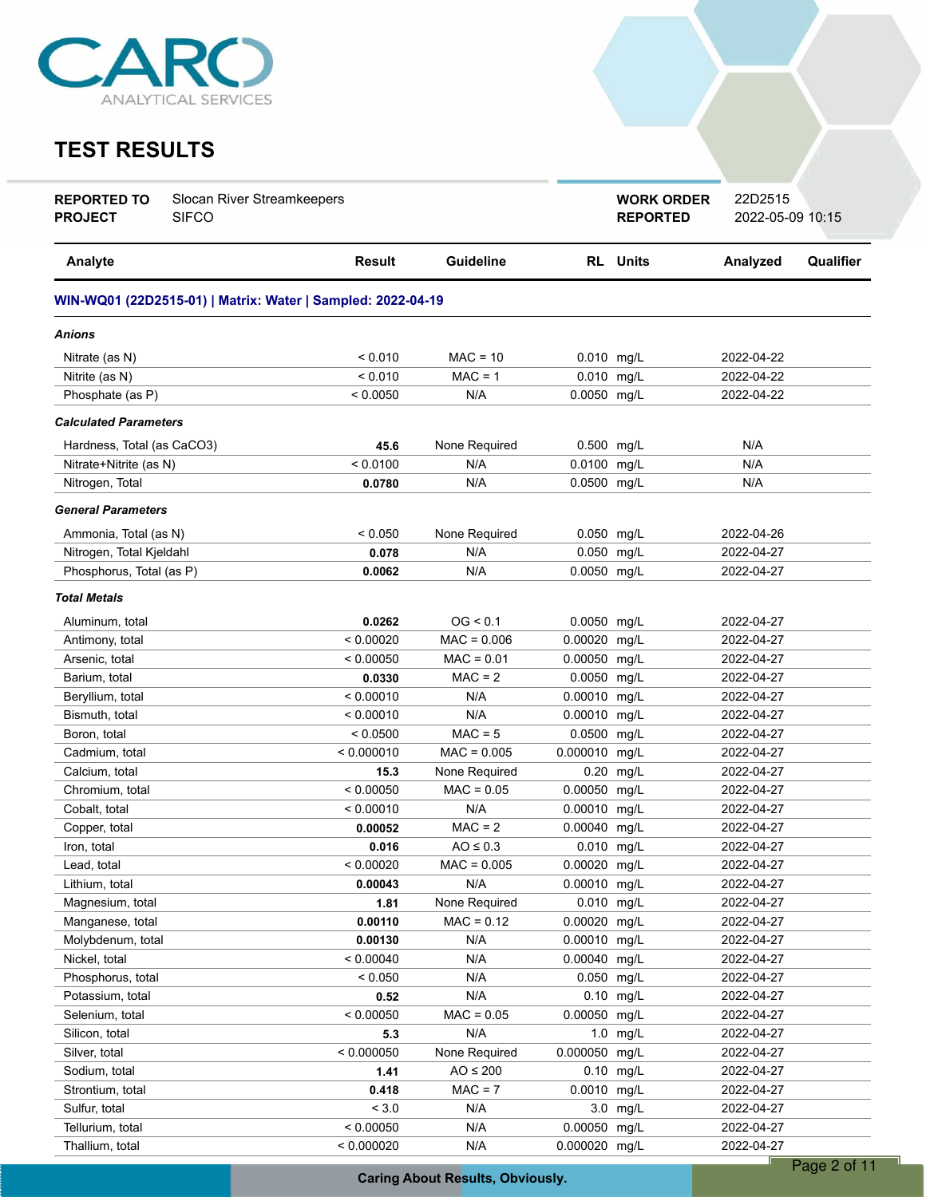

# **TEST RESULTS**

| <b>RL</b> Units<br>Analyte<br><b>Result</b><br><b>Guideline</b><br>Analyzed<br>Qualifier<br>WIN-WQ01 (22D2515-01)   Matrix: Water   Sampled: 2022-04-19<br>Anions<br>< 0.010<br>$MAC = 10$<br>0.010 mg/L<br>2022-04-22<br>Nitrate (as N)<br>< 0.010<br>$MAC = 1$<br>0.010 mg/L<br>2022-04-22<br>Nitrite (as N)<br>N/A<br>0.0050 mg/L<br>Phosphate (as P)<br>< 0.0050<br>2022-04-22<br><b>Calculated Parameters</b><br>N/A<br>Hardness, Total (as CaCO3)<br>None Required<br>0.500 mg/L<br>45.6<br>< 0.0100<br>N/A<br>0.0100<br>N/A<br>Nitrate+Nitrite (as N)<br>mg/L<br>N/A<br>0.0500 mg/L<br>Nitrogen, Total<br>N/A<br>0.0780<br><b>General Parameters</b><br>< 0.050<br>None Required<br>0.050 mg/L<br>2022-04-26<br>Ammonia, Total (as N)<br>Nitrogen, Total Kjeldahl<br>0.050 mg/L<br>N/A<br>2022-04-27<br>0.078<br>0.0050 mg/L<br>Phosphorus, Total (as P)<br>N/A<br>2022-04-27<br>0.0062<br><b>Total Metals</b><br>OG < 0.1<br>0.0050 mg/L<br>2022-04-27<br>Aluminum, total<br>0.0262<br>< 0.00020<br>0.00020<br>Antimony, total<br>$MAC = 0.006$<br>mg/L<br>2022-04-27<br>$MAC = 0.01$<br>Arsenic, total<br>< 0.00050<br>0.00050 mg/L<br>2022-04-27<br>$MAC = 2$<br>Barium, total<br>0.0050<br>mg/L<br>2022-04-27<br>0.0330<br>< 0.00010<br>0.00010<br>2022-04-27<br>N/A<br>mg/L<br>Beryllium, total<br>N/A<br>Bismuth, total<br>< 0.00010<br>0.00010<br>mg/L<br>2022-04-27<br>$MAC = 5$<br>0.0500<br>Boron, total<br>< 0.0500<br>mg/L<br>2022-04-27<br>0.000010 mg/L<br>Cadmium, total<br>< 0.000010<br>$MAC = 0.005$<br>2022-04-27<br>15.3<br>None Required<br>0.20<br>2022-04-27<br>Calcium, total<br>mg/L<br>$MAC = 0.05$<br>0.00050 mg/L<br>Chromium, total<br>< 0.00050<br>2022-04-27<br>N/A<br>Cobalt, total<br>< 0.00010<br>0.00010<br>mg/L<br>2022-04-27<br>$MAC = 2$<br>Copper, total<br>0.00040<br>mg/L<br>2022-04-27<br>0.00052<br>$AO \leq 0.3$<br>0.010 mg/L<br>2022-04-27<br>Iron, total<br>0.016<br>Lead, total<br>< 0.00020<br>$MAC = 0.005$<br>0.00020 mg/L<br>2022-04-27<br>N/A<br>0.00010 mg/L<br>2022-04-27<br>Lithium, total<br>0.00043<br>None Required<br>0.010 mg/L<br>Magnesium, total<br>2022-04-27<br>1.81<br>0.00020 mg/L<br>Manganese, total<br>0.00110<br>$MAC = 0.12$<br>2022-04-27<br>Molybdenum, total<br>N/A<br>0.00010 mg/L<br>2022-04-27<br>0.00130<br>Nickel, total<br>< 0.00040<br>N/A<br>0.00040 mg/L<br>2022-04-27<br>< 0.050<br>N/A<br>0.050<br>mg/L<br>2022-04-27<br>Phosphorus, total<br>0.52<br>N/A<br>0.10 mg/L<br>2022-04-27<br>Potassium, total<br>$MAC = 0.05$<br>0.00050<br>Selenium, total<br>< 0.00050<br>mg/L<br>2022-04-27<br>Silicon, total<br>5.3<br>N/A<br>$1.0$ mg/L<br>2022-04-27<br>0.000050 mg/L<br>< 0.000050<br>None Required<br>2022-04-27<br>Silver, total<br>$AO \leq 200$<br>0.10 mg/L<br>2022-04-27<br>Sodium, total<br>1.41<br>$MAC = 7$<br>0.0010 mg/L<br>2022-04-27<br>Strontium, total<br>0.418<br>< 3.0<br>Sulfur, total<br>N/A<br>3.0 mg/L<br>2022-04-27<br>0.00050 mg/L<br>Tellurium, total<br>< 0.00050<br>N/A<br>2022-04-27<br>0.000020 mg/L<br>Thallium, total<br>< 0.000020<br>N/A<br>2022-04-27 | <b>REPORTED TO</b><br><b>PROJECT</b> | Slocan River Streamkeepers<br><b>SIFCO</b> |  | <b>WORK ORDER</b><br><b>REPORTED</b> | 22D2515<br>2022-05-09 10:15 |  |
|----------------------------------------------------------------------------------------------------------------------------------------------------------------------------------------------------------------------------------------------------------------------------------------------------------------------------------------------------------------------------------------------------------------------------------------------------------------------------------------------------------------------------------------------------------------------------------------------------------------------------------------------------------------------------------------------------------------------------------------------------------------------------------------------------------------------------------------------------------------------------------------------------------------------------------------------------------------------------------------------------------------------------------------------------------------------------------------------------------------------------------------------------------------------------------------------------------------------------------------------------------------------------------------------------------------------------------------------------------------------------------------------------------------------------------------------------------------------------------------------------------------------------------------------------------------------------------------------------------------------------------------------------------------------------------------------------------------------------------------------------------------------------------------------------------------------------------------------------------------------------------------------------------------------------------------------------------------------------------------------------------------------------------------------------------------------------------------------------------------------------------------------------------------------------------------------------------------------------------------------------------------------------------------------------------------------------------------------------------------------------------------------------------------------------------------------------------------------------------------------------------------------------------------------------------------------------------------------------------------------------------------------------------------------------------------------------------------------------------------------------------------------------------------------------------------------------------------------------------------------------------------------------------------------------------------------------------------------------------------------------------------------------------------------------------------------------------------|--------------------------------------|--------------------------------------------|--|--------------------------------------|-----------------------------|--|
|                                                                                                                                                                                                                                                                                                                                                                                                                                                                                                                                                                                                                                                                                                                                                                                                                                                                                                                                                                                                                                                                                                                                                                                                                                                                                                                                                                                                                                                                                                                                                                                                                                                                                                                                                                                                                                                                                                                                                                                                                                                                                                                                                                                                                                                                                                                                                                                                                                                                                                                                                                                                                                                                                                                                                                                                                                                                                                                                                                                                                                                                                        |                                      |                                            |  |                                      |                             |  |
|                                                                                                                                                                                                                                                                                                                                                                                                                                                                                                                                                                                                                                                                                                                                                                                                                                                                                                                                                                                                                                                                                                                                                                                                                                                                                                                                                                                                                                                                                                                                                                                                                                                                                                                                                                                                                                                                                                                                                                                                                                                                                                                                                                                                                                                                                                                                                                                                                                                                                                                                                                                                                                                                                                                                                                                                                                                                                                                                                                                                                                                                                        |                                      |                                            |  |                                      |                             |  |
|                                                                                                                                                                                                                                                                                                                                                                                                                                                                                                                                                                                                                                                                                                                                                                                                                                                                                                                                                                                                                                                                                                                                                                                                                                                                                                                                                                                                                                                                                                                                                                                                                                                                                                                                                                                                                                                                                                                                                                                                                                                                                                                                                                                                                                                                                                                                                                                                                                                                                                                                                                                                                                                                                                                                                                                                                                                                                                                                                                                                                                                                                        |                                      |                                            |  |                                      |                             |  |
|                                                                                                                                                                                                                                                                                                                                                                                                                                                                                                                                                                                                                                                                                                                                                                                                                                                                                                                                                                                                                                                                                                                                                                                                                                                                                                                                                                                                                                                                                                                                                                                                                                                                                                                                                                                                                                                                                                                                                                                                                                                                                                                                                                                                                                                                                                                                                                                                                                                                                                                                                                                                                                                                                                                                                                                                                                                                                                                                                                                                                                                                                        |                                      |                                            |  |                                      |                             |  |
|                                                                                                                                                                                                                                                                                                                                                                                                                                                                                                                                                                                                                                                                                                                                                                                                                                                                                                                                                                                                                                                                                                                                                                                                                                                                                                                                                                                                                                                                                                                                                                                                                                                                                                                                                                                                                                                                                                                                                                                                                                                                                                                                                                                                                                                                                                                                                                                                                                                                                                                                                                                                                                                                                                                                                                                                                                                                                                                                                                                                                                                                                        |                                      |                                            |  |                                      |                             |  |
|                                                                                                                                                                                                                                                                                                                                                                                                                                                                                                                                                                                                                                                                                                                                                                                                                                                                                                                                                                                                                                                                                                                                                                                                                                                                                                                                                                                                                                                                                                                                                                                                                                                                                                                                                                                                                                                                                                                                                                                                                                                                                                                                                                                                                                                                                                                                                                                                                                                                                                                                                                                                                                                                                                                                                                                                                                                                                                                                                                                                                                                                                        |                                      |                                            |  |                                      |                             |  |
|                                                                                                                                                                                                                                                                                                                                                                                                                                                                                                                                                                                                                                                                                                                                                                                                                                                                                                                                                                                                                                                                                                                                                                                                                                                                                                                                                                                                                                                                                                                                                                                                                                                                                                                                                                                                                                                                                                                                                                                                                                                                                                                                                                                                                                                                                                                                                                                                                                                                                                                                                                                                                                                                                                                                                                                                                                                                                                                                                                                                                                                                                        |                                      |                                            |  |                                      |                             |  |
|                                                                                                                                                                                                                                                                                                                                                                                                                                                                                                                                                                                                                                                                                                                                                                                                                                                                                                                                                                                                                                                                                                                                                                                                                                                                                                                                                                                                                                                                                                                                                                                                                                                                                                                                                                                                                                                                                                                                                                                                                                                                                                                                                                                                                                                                                                                                                                                                                                                                                                                                                                                                                                                                                                                                                                                                                                                                                                                                                                                                                                                                                        |                                      |                                            |  |                                      |                             |  |
|                                                                                                                                                                                                                                                                                                                                                                                                                                                                                                                                                                                                                                                                                                                                                                                                                                                                                                                                                                                                                                                                                                                                                                                                                                                                                                                                                                                                                                                                                                                                                                                                                                                                                                                                                                                                                                                                                                                                                                                                                                                                                                                                                                                                                                                                                                                                                                                                                                                                                                                                                                                                                                                                                                                                                                                                                                                                                                                                                                                                                                                                                        |                                      |                                            |  |                                      |                             |  |
|                                                                                                                                                                                                                                                                                                                                                                                                                                                                                                                                                                                                                                                                                                                                                                                                                                                                                                                                                                                                                                                                                                                                                                                                                                                                                                                                                                                                                                                                                                                                                                                                                                                                                                                                                                                                                                                                                                                                                                                                                                                                                                                                                                                                                                                                                                                                                                                                                                                                                                                                                                                                                                                                                                                                                                                                                                                                                                                                                                                                                                                                                        |                                      |                                            |  |                                      |                             |  |
|                                                                                                                                                                                                                                                                                                                                                                                                                                                                                                                                                                                                                                                                                                                                                                                                                                                                                                                                                                                                                                                                                                                                                                                                                                                                                                                                                                                                                                                                                                                                                                                                                                                                                                                                                                                                                                                                                                                                                                                                                                                                                                                                                                                                                                                                                                                                                                                                                                                                                                                                                                                                                                                                                                                                                                                                                                                                                                                                                                                                                                                                                        |                                      |                                            |  |                                      |                             |  |
|                                                                                                                                                                                                                                                                                                                                                                                                                                                                                                                                                                                                                                                                                                                                                                                                                                                                                                                                                                                                                                                                                                                                                                                                                                                                                                                                                                                                                                                                                                                                                                                                                                                                                                                                                                                                                                                                                                                                                                                                                                                                                                                                                                                                                                                                                                                                                                                                                                                                                                                                                                                                                                                                                                                                                                                                                                                                                                                                                                                                                                                                                        |                                      |                                            |  |                                      |                             |  |
|                                                                                                                                                                                                                                                                                                                                                                                                                                                                                                                                                                                                                                                                                                                                                                                                                                                                                                                                                                                                                                                                                                                                                                                                                                                                                                                                                                                                                                                                                                                                                                                                                                                                                                                                                                                                                                                                                                                                                                                                                                                                                                                                                                                                                                                                                                                                                                                                                                                                                                                                                                                                                                                                                                                                                                                                                                                                                                                                                                                                                                                                                        |                                      |                                            |  |                                      |                             |  |
|                                                                                                                                                                                                                                                                                                                                                                                                                                                                                                                                                                                                                                                                                                                                                                                                                                                                                                                                                                                                                                                                                                                                                                                                                                                                                                                                                                                                                                                                                                                                                                                                                                                                                                                                                                                                                                                                                                                                                                                                                                                                                                                                                                                                                                                                                                                                                                                                                                                                                                                                                                                                                                                                                                                                                                                                                                                                                                                                                                                                                                                                                        |                                      |                                            |  |                                      |                             |  |
|                                                                                                                                                                                                                                                                                                                                                                                                                                                                                                                                                                                                                                                                                                                                                                                                                                                                                                                                                                                                                                                                                                                                                                                                                                                                                                                                                                                                                                                                                                                                                                                                                                                                                                                                                                                                                                                                                                                                                                                                                                                                                                                                                                                                                                                                                                                                                                                                                                                                                                                                                                                                                                                                                                                                                                                                                                                                                                                                                                                                                                                                                        |                                      |                                            |  |                                      |                             |  |
|                                                                                                                                                                                                                                                                                                                                                                                                                                                                                                                                                                                                                                                                                                                                                                                                                                                                                                                                                                                                                                                                                                                                                                                                                                                                                                                                                                                                                                                                                                                                                                                                                                                                                                                                                                                                                                                                                                                                                                                                                                                                                                                                                                                                                                                                                                                                                                                                                                                                                                                                                                                                                                                                                                                                                                                                                                                                                                                                                                                                                                                                                        |                                      |                                            |  |                                      |                             |  |
|                                                                                                                                                                                                                                                                                                                                                                                                                                                                                                                                                                                                                                                                                                                                                                                                                                                                                                                                                                                                                                                                                                                                                                                                                                                                                                                                                                                                                                                                                                                                                                                                                                                                                                                                                                                                                                                                                                                                                                                                                                                                                                                                                                                                                                                                                                                                                                                                                                                                                                                                                                                                                                                                                                                                                                                                                                                                                                                                                                                                                                                                                        |                                      |                                            |  |                                      |                             |  |
|                                                                                                                                                                                                                                                                                                                                                                                                                                                                                                                                                                                                                                                                                                                                                                                                                                                                                                                                                                                                                                                                                                                                                                                                                                                                                                                                                                                                                                                                                                                                                                                                                                                                                                                                                                                                                                                                                                                                                                                                                                                                                                                                                                                                                                                                                                                                                                                                                                                                                                                                                                                                                                                                                                                                                                                                                                                                                                                                                                                                                                                                                        |                                      |                                            |  |                                      |                             |  |
|                                                                                                                                                                                                                                                                                                                                                                                                                                                                                                                                                                                                                                                                                                                                                                                                                                                                                                                                                                                                                                                                                                                                                                                                                                                                                                                                                                                                                                                                                                                                                                                                                                                                                                                                                                                                                                                                                                                                                                                                                                                                                                                                                                                                                                                                                                                                                                                                                                                                                                                                                                                                                                                                                                                                                                                                                                                                                                                                                                                                                                                                                        |                                      |                                            |  |                                      |                             |  |
|                                                                                                                                                                                                                                                                                                                                                                                                                                                                                                                                                                                                                                                                                                                                                                                                                                                                                                                                                                                                                                                                                                                                                                                                                                                                                                                                                                                                                                                                                                                                                                                                                                                                                                                                                                                                                                                                                                                                                                                                                                                                                                                                                                                                                                                                                                                                                                                                                                                                                                                                                                                                                                                                                                                                                                                                                                                                                                                                                                                                                                                                                        |                                      |                                            |  |                                      |                             |  |
|                                                                                                                                                                                                                                                                                                                                                                                                                                                                                                                                                                                                                                                                                                                                                                                                                                                                                                                                                                                                                                                                                                                                                                                                                                                                                                                                                                                                                                                                                                                                                                                                                                                                                                                                                                                                                                                                                                                                                                                                                                                                                                                                                                                                                                                                                                                                                                                                                                                                                                                                                                                                                                                                                                                                                                                                                                                                                                                                                                                                                                                                                        |                                      |                                            |  |                                      |                             |  |
|                                                                                                                                                                                                                                                                                                                                                                                                                                                                                                                                                                                                                                                                                                                                                                                                                                                                                                                                                                                                                                                                                                                                                                                                                                                                                                                                                                                                                                                                                                                                                                                                                                                                                                                                                                                                                                                                                                                                                                                                                                                                                                                                                                                                                                                                                                                                                                                                                                                                                                                                                                                                                                                                                                                                                                                                                                                                                                                                                                                                                                                                                        |                                      |                                            |  |                                      |                             |  |
|                                                                                                                                                                                                                                                                                                                                                                                                                                                                                                                                                                                                                                                                                                                                                                                                                                                                                                                                                                                                                                                                                                                                                                                                                                                                                                                                                                                                                                                                                                                                                                                                                                                                                                                                                                                                                                                                                                                                                                                                                                                                                                                                                                                                                                                                                                                                                                                                                                                                                                                                                                                                                                                                                                                                                                                                                                                                                                                                                                                                                                                                                        |                                      |                                            |  |                                      |                             |  |
|                                                                                                                                                                                                                                                                                                                                                                                                                                                                                                                                                                                                                                                                                                                                                                                                                                                                                                                                                                                                                                                                                                                                                                                                                                                                                                                                                                                                                                                                                                                                                                                                                                                                                                                                                                                                                                                                                                                                                                                                                                                                                                                                                                                                                                                                                                                                                                                                                                                                                                                                                                                                                                                                                                                                                                                                                                                                                                                                                                                                                                                                                        |                                      |                                            |  |                                      |                             |  |
|                                                                                                                                                                                                                                                                                                                                                                                                                                                                                                                                                                                                                                                                                                                                                                                                                                                                                                                                                                                                                                                                                                                                                                                                                                                                                                                                                                                                                                                                                                                                                                                                                                                                                                                                                                                                                                                                                                                                                                                                                                                                                                                                                                                                                                                                                                                                                                                                                                                                                                                                                                                                                                                                                                                                                                                                                                                                                                                                                                                                                                                                                        |                                      |                                            |  |                                      |                             |  |
|                                                                                                                                                                                                                                                                                                                                                                                                                                                                                                                                                                                                                                                                                                                                                                                                                                                                                                                                                                                                                                                                                                                                                                                                                                                                                                                                                                                                                                                                                                                                                                                                                                                                                                                                                                                                                                                                                                                                                                                                                                                                                                                                                                                                                                                                                                                                                                                                                                                                                                                                                                                                                                                                                                                                                                                                                                                                                                                                                                                                                                                                                        |                                      |                                            |  |                                      |                             |  |
|                                                                                                                                                                                                                                                                                                                                                                                                                                                                                                                                                                                                                                                                                                                                                                                                                                                                                                                                                                                                                                                                                                                                                                                                                                                                                                                                                                                                                                                                                                                                                                                                                                                                                                                                                                                                                                                                                                                                                                                                                                                                                                                                                                                                                                                                                                                                                                                                                                                                                                                                                                                                                                                                                                                                                                                                                                                                                                                                                                                                                                                                                        |                                      |                                            |  |                                      |                             |  |
|                                                                                                                                                                                                                                                                                                                                                                                                                                                                                                                                                                                                                                                                                                                                                                                                                                                                                                                                                                                                                                                                                                                                                                                                                                                                                                                                                                                                                                                                                                                                                                                                                                                                                                                                                                                                                                                                                                                                                                                                                                                                                                                                                                                                                                                                                                                                                                                                                                                                                                                                                                                                                                                                                                                                                                                                                                                                                                                                                                                                                                                                                        |                                      |                                            |  |                                      |                             |  |
|                                                                                                                                                                                                                                                                                                                                                                                                                                                                                                                                                                                                                                                                                                                                                                                                                                                                                                                                                                                                                                                                                                                                                                                                                                                                                                                                                                                                                                                                                                                                                                                                                                                                                                                                                                                                                                                                                                                                                                                                                                                                                                                                                                                                                                                                                                                                                                                                                                                                                                                                                                                                                                                                                                                                                                                                                                                                                                                                                                                                                                                                                        |                                      |                                            |  |                                      |                             |  |
|                                                                                                                                                                                                                                                                                                                                                                                                                                                                                                                                                                                                                                                                                                                                                                                                                                                                                                                                                                                                                                                                                                                                                                                                                                                                                                                                                                                                                                                                                                                                                                                                                                                                                                                                                                                                                                                                                                                                                                                                                                                                                                                                                                                                                                                                                                                                                                                                                                                                                                                                                                                                                                                                                                                                                                                                                                                                                                                                                                                                                                                                                        |                                      |                                            |  |                                      |                             |  |
|                                                                                                                                                                                                                                                                                                                                                                                                                                                                                                                                                                                                                                                                                                                                                                                                                                                                                                                                                                                                                                                                                                                                                                                                                                                                                                                                                                                                                                                                                                                                                                                                                                                                                                                                                                                                                                                                                                                                                                                                                                                                                                                                                                                                                                                                                                                                                                                                                                                                                                                                                                                                                                                                                                                                                                                                                                                                                                                                                                                                                                                                                        |                                      |                                            |  |                                      |                             |  |
|                                                                                                                                                                                                                                                                                                                                                                                                                                                                                                                                                                                                                                                                                                                                                                                                                                                                                                                                                                                                                                                                                                                                                                                                                                                                                                                                                                                                                                                                                                                                                                                                                                                                                                                                                                                                                                                                                                                                                                                                                                                                                                                                                                                                                                                                                                                                                                                                                                                                                                                                                                                                                                                                                                                                                                                                                                                                                                                                                                                                                                                                                        |                                      |                                            |  |                                      |                             |  |
|                                                                                                                                                                                                                                                                                                                                                                                                                                                                                                                                                                                                                                                                                                                                                                                                                                                                                                                                                                                                                                                                                                                                                                                                                                                                                                                                                                                                                                                                                                                                                                                                                                                                                                                                                                                                                                                                                                                                                                                                                                                                                                                                                                                                                                                                                                                                                                                                                                                                                                                                                                                                                                                                                                                                                                                                                                                                                                                                                                                                                                                                                        |                                      |                                            |  |                                      |                             |  |
|                                                                                                                                                                                                                                                                                                                                                                                                                                                                                                                                                                                                                                                                                                                                                                                                                                                                                                                                                                                                                                                                                                                                                                                                                                                                                                                                                                                                                                                                                                                                                                                                                                                                                                                                                                                                                                                                                                                                                                                                                                                                                                                                                                                                                                                                                                                                                                                                                                                                                                                                                                                                                                                                                                                                                                                                                                                                                                                                                                                                                                                                                        |                                      |                                            |  |                                      |                             |  |
|                                                                                                                                                                                                                                                                                                                                                                                                                                                                                                                                                                                                                                                                                                                                                                                                                                                                                                                                                                                                                                                                                                                                                                                                                                                                                                                                                                                                                                                                                                                                                                                                                                                                                                                                                                                                                                                                                                                                                                                                                                                                                                                                                                                                                                                                                                                                                                                                                                                                                                                                                                                                                                                                                                                                                                                                                                                                                                                                                                                                                                                                                        |                                      |                                            |  |                                      |                             |  |
|                                                                                                                                                                                                                                                                                                                                                                                                                                                                                                                                                                                                                                                                                                                                                                                                                                                                                                                                                                                                                                                                                                                                                                                                                                                                                                                                                                                                                                                                                                                                                                                                                                                                                                                                                                                                                                                                                                                                                                                                                                                                                                                                                                                                                                                                                                                                                                                                                                                                                                                                                                                                                                                                                                                                                                                                                                                                                                                                                                                                                                                                                        |                                      |                                            |  |                                      |                             |  |
|                                                                                                                                                                                                                                                                                                                                                                                                                                                                                                                                                                                                                                                                                                                                                                                                                                                                                                                                                                                                                                                                                                                                                                                                                                                                                                                                                                                                                                                                                                                                                                                                                                                                                                                                                                                                                                                                                                                                                                                                                                                                                                                                                                                                                                                                                                                                                                                                                                                                                                                                                                                                                                                                                                                                                                                                                                                                                                                                                                                                                                                                                        |                                      |                                            |  |                                      |                             |  |
|                                                                                                                                                                                                                                                                                                                                                                                                                                                                                                                                                                                                                                                                                                                                                                                                                                                                                                                                                                                                                                                                                                                                                                                                                                                                                                                                                                                                                                                                                                                                                                                                                                                                                                                                                                                                                                                                                                                                                                                                                                                                                                                                                                                                                                                                                                                                                                                                                                                                                                                                                                                                                                                                                                                                                                                                                                                                                                                                                                                                                                                                                        |                                      |                                            |  |                                      |                             |  |
|                                                                                                                                                                                                                                                                                                                                                                                                                                                                                                                                                                                                                                                                                                                                                                                                                                                                                                                                                                                                                                                                                                                                                                                                                                                                                                                                                                                                                                                                                                                                                                                                                                                                                                                                                                                                                                                                                                                                                                                                                                                                                                                                                                                                                                                                                                                                                                                                                                                                                                                                                                                                                                                                                                                                                                                                                                                                                                                                                                                                                                                                                        |                                      |                                            |  |                                      |                             |  |
|                                                                                                                                                                                                                                                                                                                                                                                                                                                                                                                                                                                                                                                                                                                                                                                                                                                                                                                                                                                                                                                                                                                                                                                                                                                                                                                                                                                                                                                                                                                                                                                                                                                                                                                                                                                                                                                                                                                                                                                                                                                                                                                                                                                                                                                                                                                                                                                                                                                                                                                                                                                                                                                                                                                                                                                                                                                                                                                                                                                                                                                                                        |                                      |                                            |  |                                      |                             |  |
|                                                                                                                                                                                                                                                                                                                                                                                                                                                                                                                                                                                                                                                                                                                                                                                                                                                                                                                                                                                                                                                                                                                                                                                                                                                                                                                                                                                                                                                                                                                                                                                                                                                                                                                                                                                                                                                                                                                                                                                                                                                                                                                                                                                                                                                                                                                                                                                                                                                                                                                                                                                                                                                                                                                                                                                                                                                                                                                                                                                                                                                                                        |                                      |                                            |  |                                      |                             |  |
|                                                                                                                                                                                                                                                                                                                                                                                                                                                                                                                                                                                                                                                                                                                                                                                                                                                                                                                                                                                                                                                                                                                                                                                                                                                                                                                                                                                                                                                                                                                                                                                                                                                                                                                                                                                                                                                                                                                                                                                                                                                                                                                                                                                                                                                                                                                                                                                                                                                                                                                                                                                                                                                                                                                                                                                                                                                                                                                                                                                                                                                                                        |                                      |                                            |  |                                      |                             |  |
|                                                                                                                                                                                                                                                                                                                                                                                                                                                                                                                                                                                                                                                                                                                                                                                                                                                                                                                                                                                                                                                                                                                                                                                                                                                                                                                                                                                                                                                                                                                                                                                                                                                                                                                                                                                                                                                                                                                                                                                                                                                                                                                                                                                                                                                                                                                                                                                                                                                                                                                                                                                                                                                                                                                                                                                                                                                                                                                                                                                                                                                                                        |                                      |                                            |  |                                      |                             |  |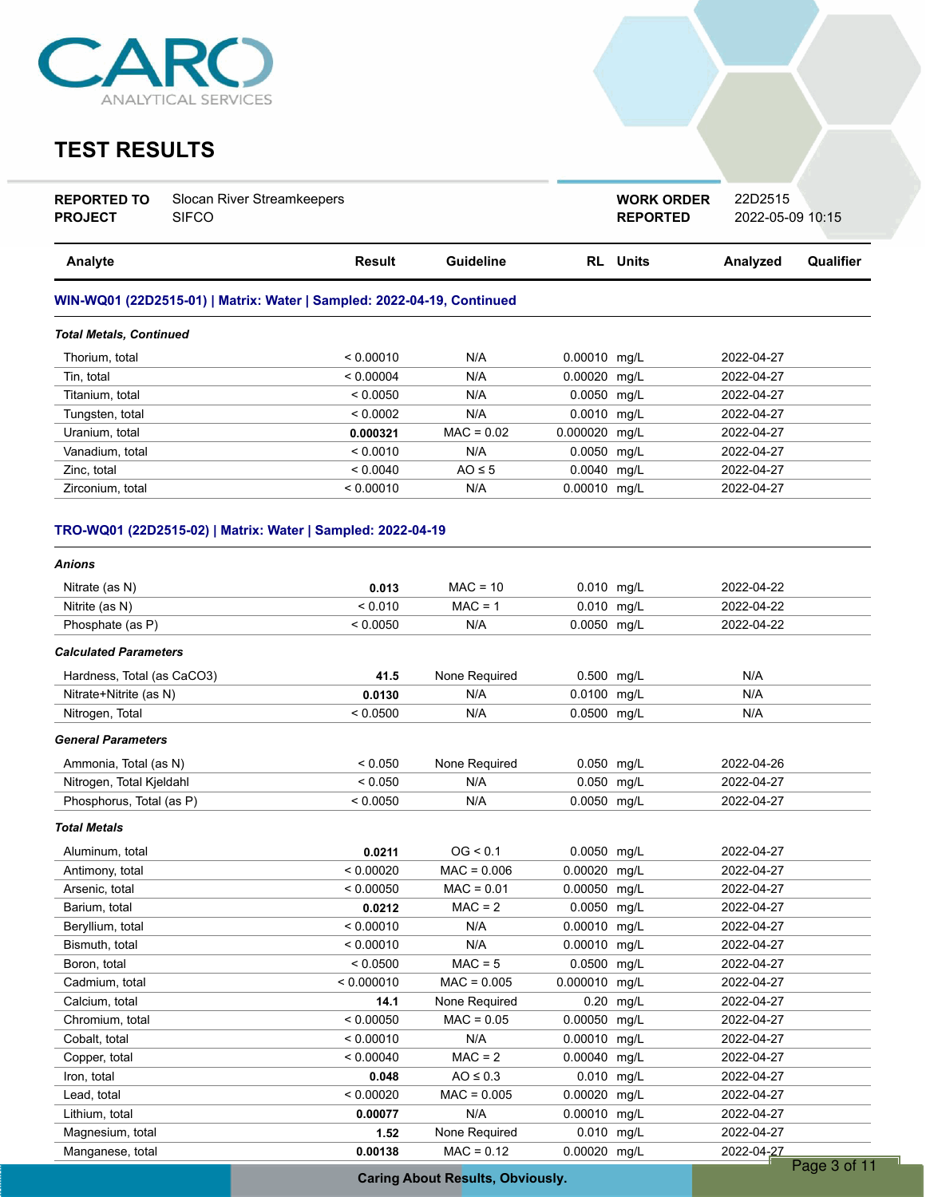

## **TEST RESULTS**

| <b>REPORTED TO</b> | Slocan River Streamkeepers |
|--------------------|----------------------------|
| <b>PROJECT</b>     | <b>SIFCO</b>               |

**REPORTED** 2022-05-09 10:15 **WORK ORDER** 22D2515

| Analyte                                                                | Result    | Guideline    | <b>RL</b> Units | Analyzed   | Qualifier |  |  |
|------------------------------------------------------------------------|-----------|--------------|-----------------|------------|-----------|--|--|
| WIN-WQ01 (22D2515-01)   Matrix: Water   Sampled: 2022-04-19, Continued |           |              |                 |            |           |  |  |
| <b>Total Metals, Continued</b>                                         |           |              |                 |            |           |  |  |
| Thorium, total                                                         | < 0.00010 | N/A          | $0.00010$ mg/L  | 2022-04-27 |           |  |  |
| Tin. total                                                             | < 0.00004 | N/A          | $0.00020$ mg/L  | 2022-04-27 |           |  |  |
| Titanium, total                                                        | < 0.0050  | N/A          | $0.0050$ mg/L   | 2022-04-27 |           |  |  |
| Tungsten, total                                                        | < 0.0002  | N/A          | $0.0010$ mg/L   | 2022-04-27 |           |  |  |
| Uranium, total                                                         | 0.000321  | $MAC = 0.02$ | 0.000020 mg/L   | 2022-04-27 |           |  |  |
| Vanadium, total                                                        | < 0.0010  | N/A          | $0.0050$ mg/L   | 2022-04-27 |           |  |  |
| Zinc, total                                                            | < 0.0040  | $AO \leq 5$  | $0.0040$ mg/L   | 2022-04-27 |           |  |  |
| Zirconium, total                                                       | < 0.00010 | N/A          | 0.00010 mg/L    | 2022-04-27 |           |  |  |

### **TRO-WQ01 (22D2515-02) | Matrix: Water | Sampled: 2022-04-19**

| <b>Anions</b>                |            |               |                |           |            |             |
|------------------------------|------------|---------------|----------------|-----------|------------|-------------|
| Nitrate (as N)               | 0.013      | $MAC = 10$    | 0.010 mg/L     |           | 2022-04-22 |             |
| Nitrite (as N)               | < 0.010    | $MAC = 1$     | 0.010 mg/L     |           | 2022-04-22 |             |
| Phosphate (as P)             | < 0.0050   | N/A           | 0.0050 mg/L    |           | 2022-04-22 |             |
| <b>Calculated Parameters</b> |            |               |                |           |            |             |
| Hardness, Total (as CaCO3)   | 41.5       | None Required | 0.500 mg/L     |           | N/A        |             |
| Nitrate+Nitrite (as N)       | 0.0130     | N/A           | 0.0100 mg/L    |           | N/A        |             |
| Nitrogen, Total              | < 0.0500   | N/A           | 0.0500 mg/L    |           | N/A        |             |
| <b>General Parameters</b>    |            |               |                |           |            |             |
| Ammonia, Total (as N)        | < 0.050    | None Required | 0.050 mg/L     |           | 2022-04-26 |             |
| Nitrogen, Total Kjeldahl     | < 0.050    | N/A           | 0.050 mg/L     |           | 2022-04-27 |             |
| Phosphorus, Total (as P)     | < 0.0050   | N/A           | 0.0050 mg/L    |           | 2022-04-27 |             |
| <b>Total Metals</b>          |            |               |                |           |            |             |
| Aluminum, total              | 0.0211     | OG < 0.1      | 0.0050 mg/L    |           | 2022-04-27 |             |
| Antimony, total              | < 0.00020  | $MAC = 0.006$ | $0.00020$ mg/L |           | 2022-04-27 |             |
| Arsenic, total               | < 0.00050  | $MAC = 0.01$  | 0.00050        | mg/L      | 2022-04-27 |             |
| Barium, total                | 0.0212     | $MAC = 2$     | 0.0050 mg/L    |           | 2022-04-27 |             |
| Beryllium, total             | < 0.00010  | N/A           | 0.00010 mg/L   |           | 2022-04-27 |             |
| Bismuth, total               | < 0.00010  | N/A           | 0.00010 mg/L   |           | 2022-04-27 |             |
| Boron, total                 | < 0.0500   | $MAC = 5$     | 0.0500         | mq/L      | 2022-04-27 |             |
| Cadmium, total               | < 0.000010 | $MAC = 0.005$ | 0.000010       | mq/L      | 2022-04-27 |             |
| Calcium, total               | 14.1       | None Required |                | 0.20 mg/L | 2022-04-27 |             |
| Chromium, total              | < 0.00050  | $MAC = 0.05$  | 0.00050 mg/L   |           | 2022-04-27 |             |
| Cobalt, total                | < 0.00010  | N/A           | 0.00010        | mg/L      | 2022-04-27 |             |
| Copper, total                | < 0.00040  | $MAC = 2$     | 0.00040 mg/L   |           | 2022-04-27 |             |
| Iron, total                  | 0.048      | $AO \leq 0.3$ | 0.010 mg/L     |           | 2022-04-27 |             |
| Lead, total                  | < 0.00020  | $MAC = 0.005$ | 0.00020 mg/L   |           | 2022-04-27 |             |
| Lithium, total               | 0.00077    | N/A           | 0.00010        | mg/L      | 2022-04-27 |             |
| Magnesium, total             | 1.52       | None Required | 0.010 mg/L     |           | 2022-04-27 |             |
| Manganese, total             | 0.00138    | $MAC = 0.12$  | 0.00020 mg/L   |           | 2022-04-27 |             |
|                              |            |               |                |           |            | Page 3 of 1 |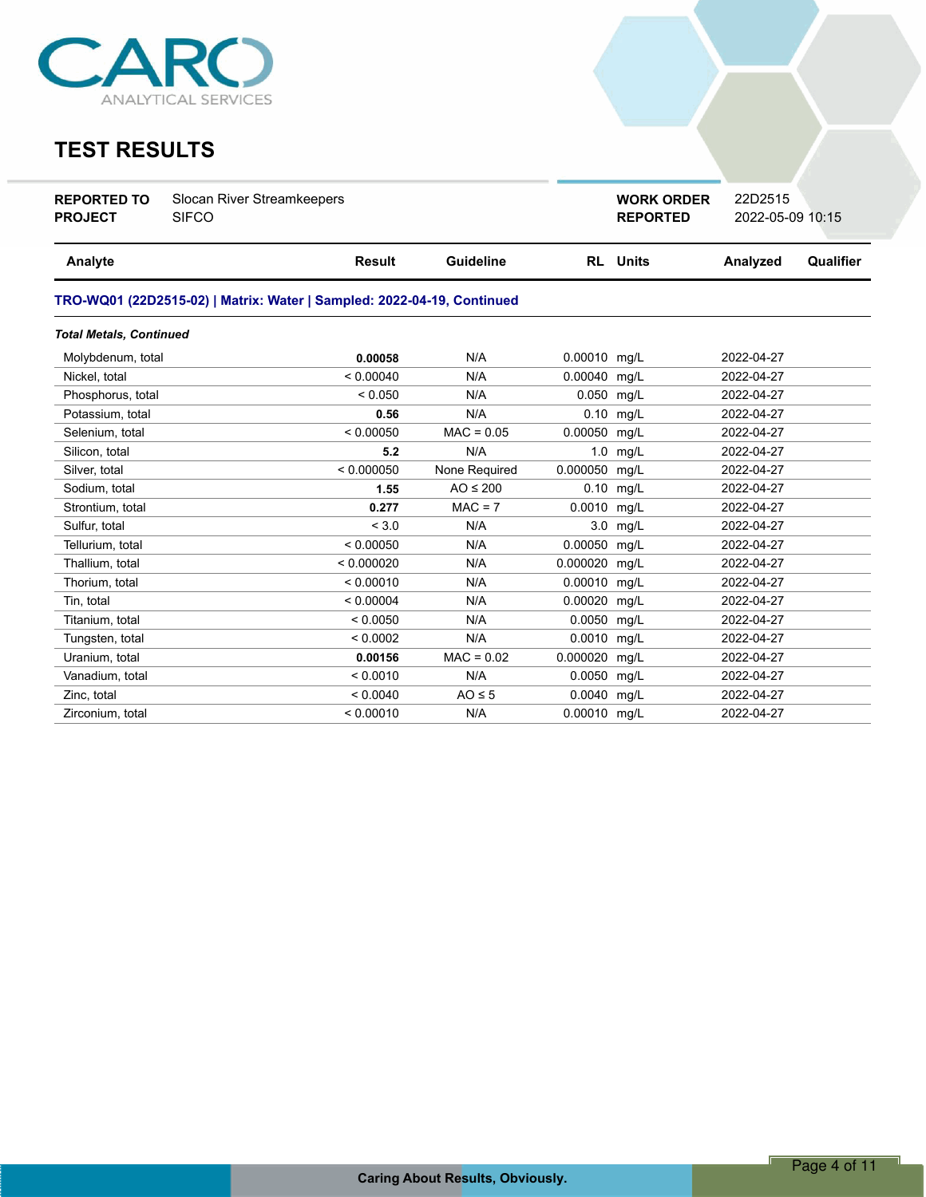

## **TEST RESULTS**

| <b>REPORTED TO</b> | Slocan River Streamkeepers |
|--------------------|----------------------------|
| <b>PROJECT</b>     | <b>SIFCO</b>               |

**WORK ORDER** 22D2515

**REPORTED** 2022-05-09 10:15

| Analyte                        | <b>Result</b>                                                          | <b>Guideline</b> |              | <b>RL</b> Units | Analyzed   | Qualifier |  |  |  |  |
|--------------------------------|------------------------------------------------------------------------|------------------|--------------|-----------------|------------|-----------|--|--|--|--|
|                                | TRO-WQ01 (22D2515-02)   Matrix: Water   Sampled: 2022-04-19, Continued |                  |              |                 |            |           |  |  |  |  |
| <b>Total Metals, Continued</b> |                                                                        |                  |              |                 |            |           |  |  |  |  |
| Molybdenum, total              | 0.00058                                                                | N/A              | 0.00010 mg/L |                 | 2022-04-27 |           |  |  |  |  |
| Nickel, total                  | < 0.00040                                                              | N/A              | 0.00040 mg/L |                 | 2022-04-27 |           |  |  |  |  |
| Phosphorus, total              | < 0.050                                                                | N/A              | 0.050 mg/L   |                 | 2022-04-27 |           |  |  |  |  |
| Potassium, total               | 0.56                                                                   | N/A              |              | 0.10 mg/L       | 2022-04-27 |           |  |  |  |  |
| Selenium, total                | < 0.00050                                                              | $MAC = 0.05$     | 0.00050 mg/L |                 | 2022-04-27 |           |  |  |  |  |
| Silicon, total                 | 5.2                                                                    | N/A              |              | $1.0$ mg/L      | 2022-04-27 |           |  |  |  |  |
| Silver, total                  | < 0.000050                                                             | None Required    | 0.000050     | mq/L            | 2022-04-27 |           |  |  |  |  |
| Sodium, total                  | 1.55                                                                   | $AO \leq 200$    | 0.10         | mg/L            | 2022-04-27 |           |  |  |  |  |
| Strontium, total               | 0.277                                                                  | $MAC = 7$        | 0.0010       | mg/L            | 2022-04-27 |           |  |  |  |  |
| Sulfur, total                  | < 3.0                                                                  | N/A              | 3.0          | mg/L            | 2022-04-27 |           |  |  |  |  |
| Tellurium, total               | < 0.00050                                                              | N/A              | 0.00050      | mq/L            | 2022-04-27 |           |  |  |  |  |
| Thallium, total                | < 0.000020                                                             | N/A              | 0.000020     | mg/L            | 2022-04-27 |           |  |  |  |  |
| Thorium, total                 | < 0.00010                                                              | N/A              | 0.00010 mg/L |                 | 2022-04-27 |           |  |  |  |  |
| Tin, total                     | < 0.00004                                                              | N/A              | 0.00020      | mg/L            | 2022-04-27 |           |  |  |  |  |
| Titanium, total                | < 0.0050                                                               | N/A              | 0.0050 mg/L  |                 | 2022-04-27 |           |  |  |  |  |
| Tungsten, total                | < 0.0002                                                               | N/A              | 0.0010 mg/L  |                 | 2022-04-27 |           |  |  |  |  |
| Uranium, total                 | 0.00156                                                                | $MAC = 0.02$     | 0.000020     | mg/L            | 2022-04-27 |           |  |  |  |  |
| Vanadium, total                | < 0.0010                                                               | N/A              | 0.0050 mg/L  |                 | 2022-04-27 |           |  |  |  |  |
| Zinc, total                    | < 0.0040                                                               | $AO \leq 5$      | 0.0040 mg/L  |                 | 2022-04-27 |           |  |  |  |  |
| Zirconium, total               | < 0.00010                                                              | N/A              | 0.00010 mg/L |                 | 2022-04-27 |           |  |  |  |  |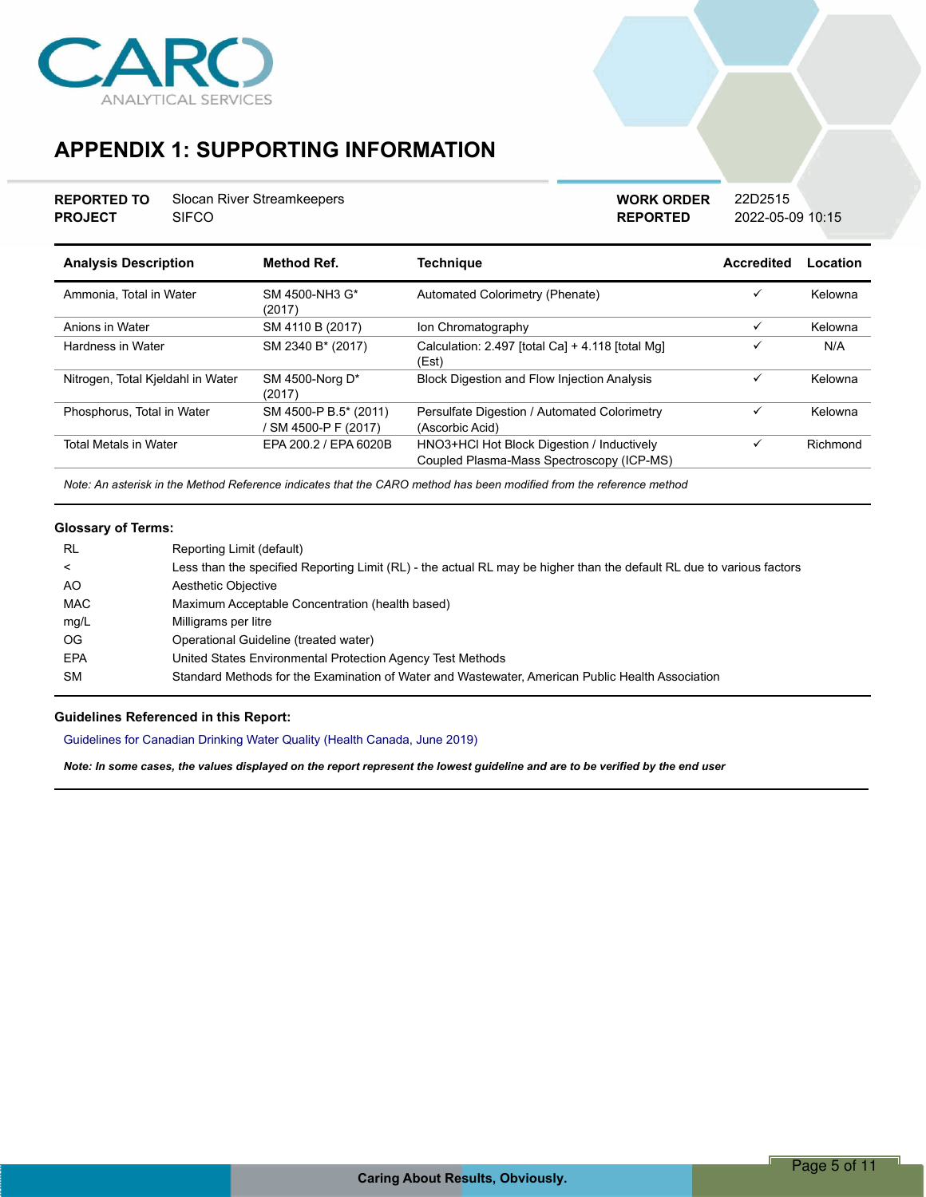

# **APPENDIX 1: SUPPORTING INFORMATION**

| <b>REPORTED TO</b> | Slocan River Streamkeepers |
|--------------------|----------------------------|
| <b>PROJECT</b>     | <b>SIFCO</b>               |

**REPORTED** 2022-05-09 10:15 **WORK ORDER** 22D2515

| <b>Analysis Description</b>       | Method Ref.                                 | <b>Technique</b>                                                                        | Accredited   | Location |
|-----------------------------------|---------------------------------------------|-----------------------------------------------------------------------------------------|--------------|----------|
| Ammonia. Total in Water           | SM 4500-NH3 G*<br>(2017)                    | Automated Colorimetry (Phenate)                                                         | ✓            | Kelowna  |
| Anions in Water                   | SM 4110 B (2017)                            | Ion Chromatography                                                                      | ✓            | Kelowna  |
| Hardness in Water                 | SM 2340 B* (2017)                           | Calculation: 2.497 [total Ca] + 4.118 [total Mg]<br>(Est)                               | ✓            | N/A      |
| Nitrogen, Total Kjeldahl in Water | SM 4500-Norg D*<br>(2017)                   | <b>Block Digestion and Flow Injection Analysis</b>                                      | $\checkmark$ | Kelowna  |
| Phosphorus, Total in Water        | SM 4500-P B.5* (2011)<br>SM 4500-P F (2017) | Persulfate Digestion / Automated Colorimetry<br>(Ascorbic Acid)                         | ✓            | Kelowna  |
| <b>Total Metals in Water</b>      | FPA 200 2 / FPA 6020B                       | HNO3+HCl Hot Block Digestion / Inductively<br>Coupled Plasma-Mass Spectroscopy (ICP-MS) | ✓            | Richmond |

*Note: An asterisk in the Method Reference indicates that the CARO method has been modified from the reference method*

### **Glossary of Terms:**

| RL         | Reporting Limit (default)                                                                                             |
|------------|-----------------------------------------------------------------------------------------------------------------------|
| ≺          | Less than the specified Reporting Limit (RL) - the actual RL may be higher than the default RL due to various factors |
| AO         | Aesthetic Objective                                                                                                   |
| <b>MAC</b> | Maximum Acceptable Concentration (health based)                                                                       |
| mg/L       | Milligrams per litre                                                                                                  |
| OG.        | Operational Guideline (treated water)                                                                                 |
| <b>EPA</b> | United States Environmental Protection Agency Test Methods                                                            |
| <b>SM</b>  | Standard Methods for the Examination of Water and Wastewater, American Public Health Association                      |

### **Guidelines Referenced in this Report:**

Guidelines for Canadian Drinking Water Quality (Health Canada, June 2019)

*Note: In some cases, the values displayed on the report represent the lowest guideline and are to be verified by the end user*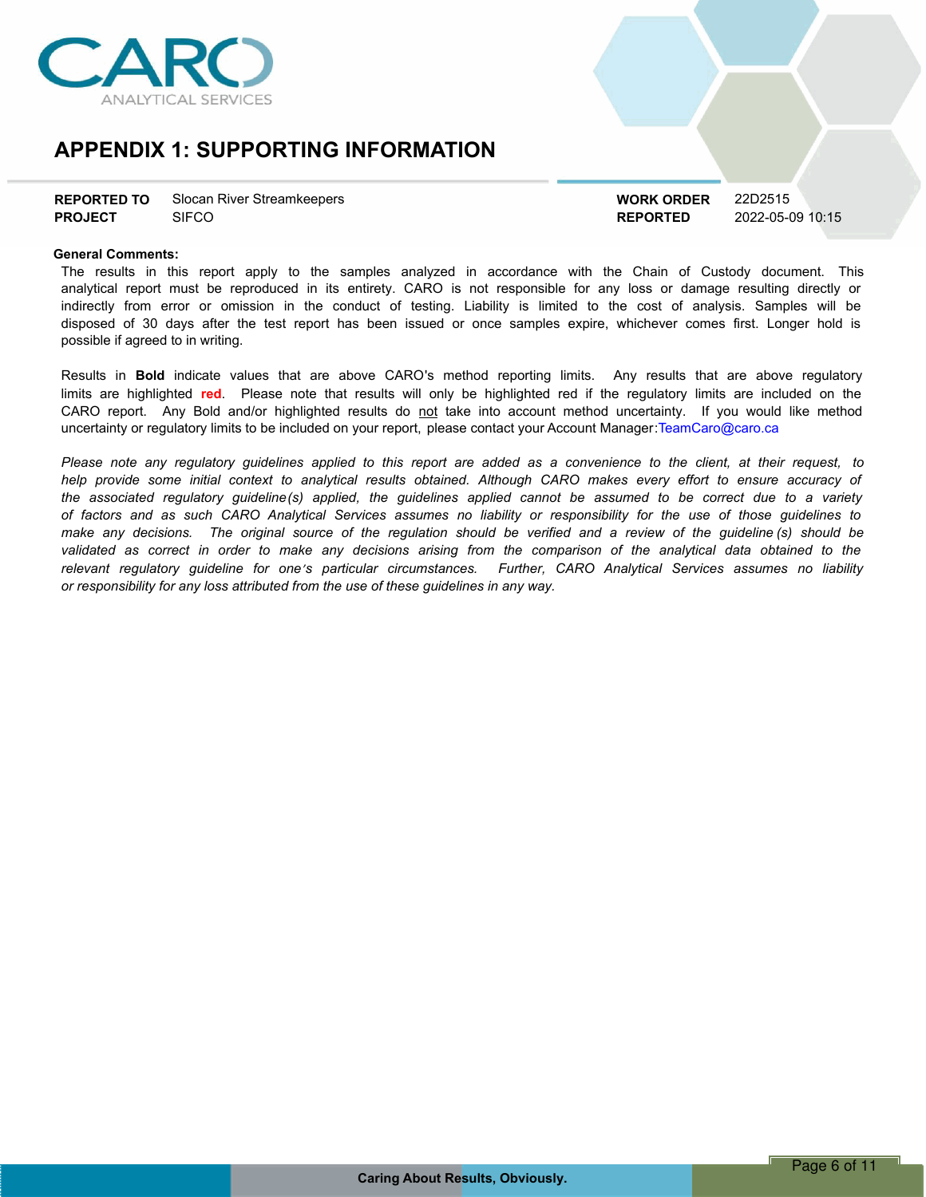

## **APPENDIX 1: SUPPORTING INFORMATION**

| <b>REPORTED TO</b> | Slocan River Streamkeepers |
|--------------------|----------------------------|
| <b>PROJECT</b>     | <b>SIFCO</b>               |

**REPORTED** 2022-05-09 10:15 **WORK ORDER** 22D2515

### **General Comments:**

The results in this report apply to the samples analyzed in accordance with the Chain of Custody document. This analytical report must be reproduced in its entirety. CARO is not responsible for any loss or damage resulting directly or indirectly from error or omission in the conduct of testing. Liability is limited to the cost of analysis. Samples will be disposed of 30 days after the test report has been issued or once samples expire, whichever comes first. Longer hold is possible if agreed to in writing.

Results in **Bold** indicate values that are above CARO's method reporting limits. Any results that are above regulatory limits are highlighted **red**. Please note that results will only be highlighted red if the regulatory limits are included on the CARO report. Any Bold and/or highlighted results do not take into account method uncertainty. If you would like method uncertainty or regulatory limits to be included on your report, please contact your Account Manager:TeamCaro@caro.ca

Please note any requlatory quidelines applied to this report are added as a convenience to the client, at their request, to help provide some initial context to analytical results obtained. Although CARO makes every effort to ensure accuracy of the associated regulatory guideline(s) applied, the guidelines applied cannot be assumed to be correct due to a variety of factors and as such CARO Analytical Services assumes no liability or responsibility for the use of those guidelines to make any decisions. The original source of the regulation should be verified and a review of the guideline (s) should be validated as correct in order to make any decisions arising from the comparison of the analytical data obtained to the *relevant regulatory guideline for oneís particular circumstances. Further, CARO Analytical Services assumes no liability or responsibility for any loss attributed from the use of these guidelines in any way.*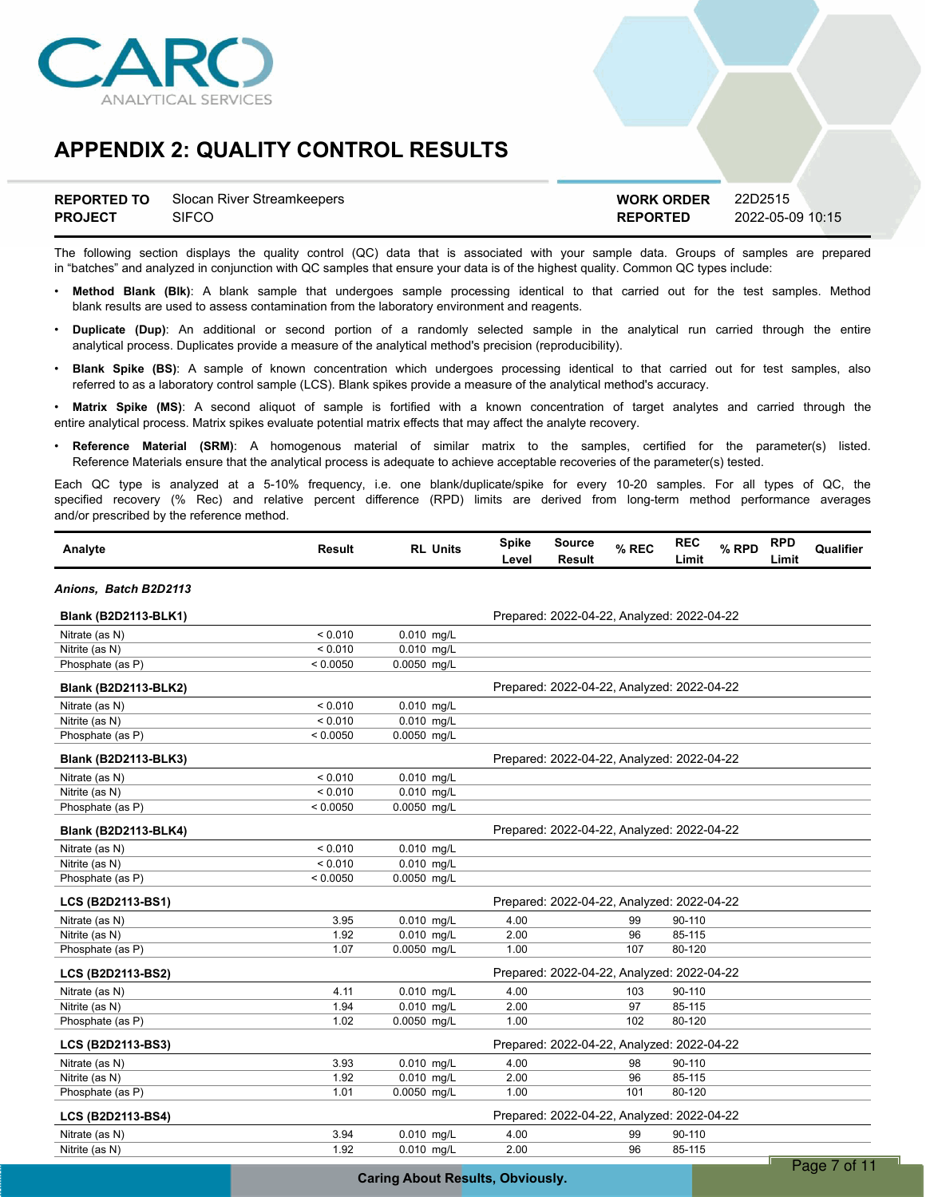

|                | <b>REPORTED TO</b> Slocan River Streamkeepers | <b>WORK ORDER</b> | 22D2515          |
|----------------|-----------------------------------------------|-------------------|------------------|
| <b>PROJECT</b> | SIFCO                                         | <b>REPORTED</b>   | 2022-05-09 10:15 |

The following section displays the quality control (QC) data that is associated with your sample data. Groups of samples are prepared in "batches" and analyzed in conjunction with QC samples that ensure your data is of the highest quality. Common QC types include:

- ï **Method Blank (Blk)**: A blank sample that undergoes sample processing identical to that carried out for the test samples. Method blank results are used to assess contamination from the laboratory environment and reagents.
- ï **Duplicate (Dup)**: An additional or second portion of a randomly selected sample in the analytical run carried through the entire analytical process. Duplicates provide a measure of the analytical method's precision (reproducibility).
- ï **Blank Spike (BS)**: A sample of known concentration which undergoes processing identical to that carried out for test samples, also referred to as a laboratory control sample (LCS). Blank spikes provide a measure of the analytical method's accuracy.

Matrix Spike (MS): A second aliquot of sample is fortified with a known concentration of target analytes and carried through the entire analytical process. Matrix spikes evaluate potential matrix effects that may affect the analyte recovery.

ï **Reference Material (SRM)**: A homogenous material of similar matrix to the samples, certified for the parameter(s) listed. Reference Materials ensure that the analytical process is adequate to achieve acceptable recoveries of the parameter(s) tested.

Each QC type is analyzed at a 5-10% frequency, i.e. one blank/duplicate/spike for every 10-20 samples. For all types of QC, the specified recovery (% Rec) and relative percent difference (RPD) limits are derived from long-term method performance averages and/or prescribed by the reference method.

| Analyte                     | Result   | <b>RL Units</b>         | <b>Spike</b><br>Level | <b>Source</b><br><b>Result</b>             | % REC | <b>REC</b><br>Limit | % RPD | <b>RPD</b><br>Limit | Qualifier |
|-----------------------------|----------|-------------------------|-----------------------|--------------------------------------------|-------|---------------------|-------|---------------------|-----------|
| Anions, Batch B2D2113       |          |                         |                       |                                            |       |                     |       |                     |           |
| <b>Blank (B2D2113-BLK1)</b> |          |                         |                       | Prepared: 2022-04-22, Analyzed: 2022-04-22 |       |                     |       |                     |           |
| Nitrate (as N)              | < 0.010  | $0.010$ mg/L            |                       |                                            |       |                     |       |                     |           |
| Nitrite (as N)              | < 0.010  | $0.010$ mg/L            |                       |                                            |       |                     |       |                     |           |
| Phosphate (as P)            | < 0.0050 | $0.0050$ mg/L           |                       |                                            |       |                     |       |                     |           |
| <b>Blank (B2D2113-BLK2)</b> |          |                         |                       | Prepared: 2022-04-22, Analyzed: 2022-04-22 |       |                     |       |                     |           |
| Nitrate (as N)              | < 0.010  | $0.010$ mg/L            |                       |                                            |       |                     |       |                     |           |
| Nitrite (as N)              | < 0.010  | 0.010 mg/L              |                       |                                            |       |                     |       |                     |           |
| Phosphate (as P)            | < 0.0050 | 0.0050 mg/L             |                       |                                            |       |                     |       |                     |           |
| <b>Blank (B2D2113-BLK3)</b> |          |                         |                       | Prepared: 2022-04-22, Analyzed: 2022-04-22 |       |                     |       |                     |           |
| Nitrate (as N)              | < 0.010  | $0.010$ mg/L            |                       |                                            |       |                     |       |                     |           |
| Nitrite (as N)              | < 0.010  | $0.010$ mg/L            |                       |                                            |       |                     |       |                     |           |
| Phosphate (as P)            | < 0.0050 | 0.0050 mg/L             |                       |                                            |       |                     |       |                     |           |
| <b>Blank (B2D2113-BLK4)</b> |          |                         |                       | Prepared: 2022-04-22, Analyzed: 2022-04-22 |       |                     |       |                     |           |
| Nitrate (as N)              | < 0.010  | 0.010 mg/L              |                       |                                            |       |                     |       |                     |           |
| Nitrite (as N)              | < 0.010  | 0.010 mg/L              |                       |                                            |       |                     |       |                     |           |
| Phosphate (as P)            | < 0.0050 | 0.0050 mg/L             |                       |                                            |       |                     |       |                     |           |
| LCS (B2D2113-BS1)           |          |                         |                       | Prepared: 2022-04-22, Analyzed: 2022-04-22 |       |                     |       |                     |           |
| Nitrate (as N)              | 3.95     | $0.010$ mg/L            | 4.00                  |                                            | 99    | 90-110              |       |                     |           |
| Nitrite (as N)              | 1.92     | $\overline{0.010}$ mg/L | 2.00                  |                                            | 96    | 85-115              |       |                     |           |
| Phosphate (as P)            | 1.07     | 0.0050 mg/L             | 1.00                  |                                            | 107   | 80-120              |       |                     |           |
| LCS (B2D2113-BS2)           |          |                         |                       | Prepared: 2022-04-22, Analyzed: 2022-04-22 |       |                     |       |                     |           |
| Nitrate (as N)              | 4.11     | 0.010 mg/L              | 4.00                  |                                            | 103   | 90-110              |       |                     |           |
| Nitrite (as N)              | 1.94     | 0.010 mg/L              | 2.00                  |                                            | 97    | 85-115              |       |                     |           |
| Phosphate (as P)            | 1.02     | 0.0050 mg/L             | 1.00                  |                                            | 102   | 80-120              |       |                     |           |
| LCS (B2D2113-BS3)           |          |                         |                       | Prepared: 2022-04-22, Analyzed: 2022-04-22 |       |                     |       |                     |           |
| Nitrate (as N)              | 3.93     | 0.010 mg/L              | 4.00                  |                                            | 98    | 90-110              |       |                     |           |
| Nitrite (as N)              | 1.92     | 0.010 mg/L              | 2.00                  |                                            | 96    | 85-115              |       |                     |           |
| Phosphate (as P)            | 1.01     | 0.0050 mg/L             | 1.00                  |                                            | 101   | 80-120              |       |                     |           |
| LCS (B2D2113-BS4)           |          |                         |                       | Prepared: 2022-04-22, Analyzed: 2022-04-22 |       |                     |       |                     |           |
| Nitrate (as N)              | 3.94     | $0.010$ mg/L            | 4.00                  |                                            | 99    | 90-110              |       |                     |           |
| Nitrite (as N)              | 1.92     | 0.010 mg/L              | 2.00                  |                                            | 96    | 85-115              |       |                     |           |
|                             |          |                         |                       |                                            |       |                     |       | $\mathbf{D}$        | 7.11      |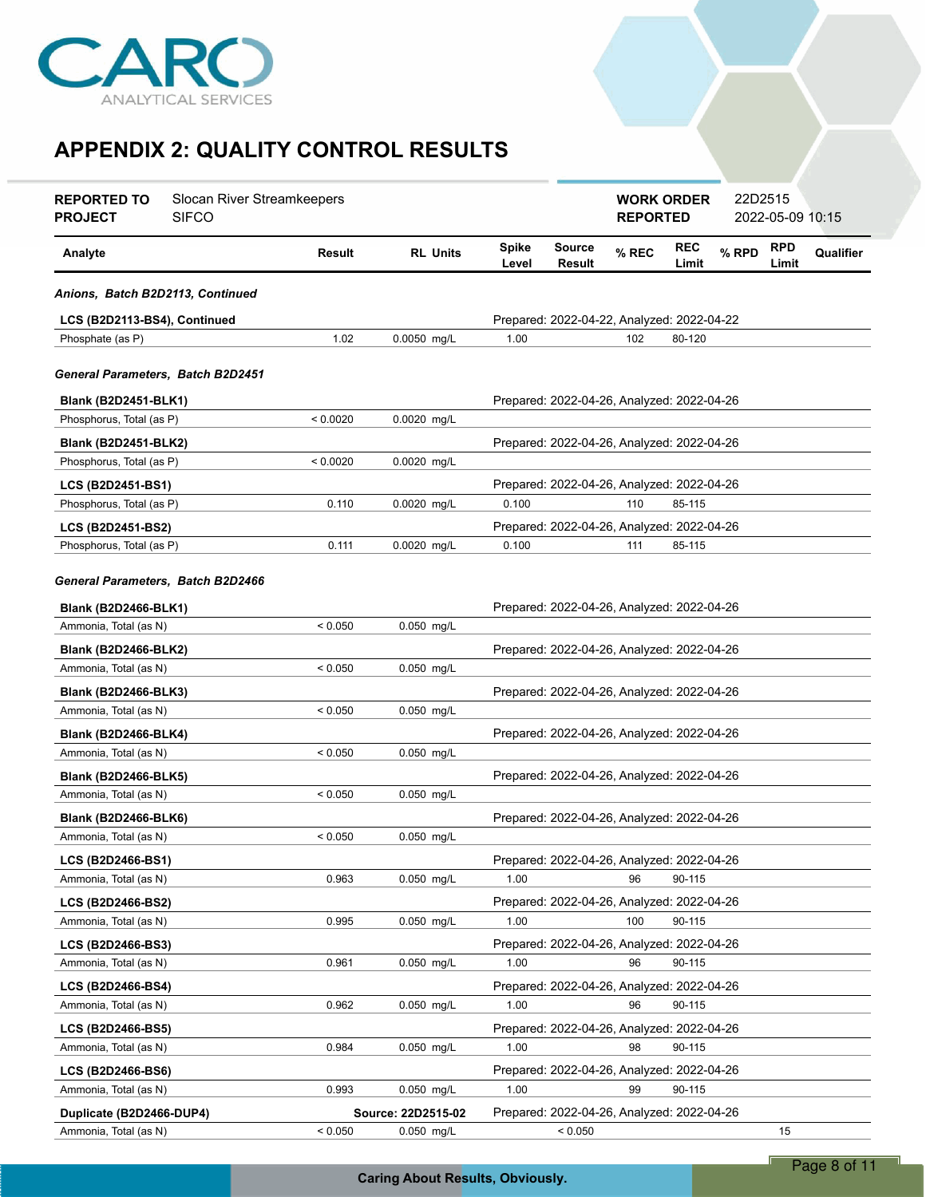

| <b>REPORTED TO</b><br><b>PROJECT</b> | Slocan River Streamkeepers<br><b>SIFCO</b> |          |                    |                       |                                            | <b>WORK ORDER</b><br><b>REPORTED</b> |                     | 22D2515 | 2022-05-09 10:15    |           |
|--------------------------------------|--------------------------------------------|----------|--------------------|-----------------------|--------------------------------------------|--------------------------------------|---------------------|---------|---------------------|-----------|
| Analyte                              |                                            | Result   | <b>RL Units</b>    | <b>Spike</b><br>Level | <b>Source</b><br>Result                    | % REC                                | <b>REC</b><br>Limit | % RPD   | <b>RPD</b><br>Limit | Qualifier |
| Anions, Batch B2D2113, Continued     |                                            |          |                    |                       |                                            |                                      |                     |         |                     |           |
| LCS (B2D2113-BS4), Continued         |                                            |          |                    |                       | Prepared: 2022-04-22, Analyzed: 2022-04-22 |                                      |                     |         |                     |           |
| Phosphate (as P)                     |                                            | 1.02     | 0.0050 mg/L        | 1.00                  |                                            | 102                                  | 80-120              |         |                     |           |
| General Parameters, Batch B2D2451    |                                            |          |                    |                       |                                            |                                      |                     |         |                     |           |
| <b>Blank (B2D2451-BLK1)</b>          |                                            |          |                    |                       | Prepared: 2022-04-26, Analyzed: 2022-04-26 |                                      |                     |         |                     |           |
| Phosphorus, Total (as P)             |                                            | < 0.0020 | 0.0020 mg/L        |                       |                                            |                                      |                     |         |                     |           |
| <b>Blank (B2D2451-BLK2)</b>          |                                            |          |                    |                       | Prepared: 2022-04-26, Analyzed: 2022-04-26 |                                      |                     |         |                     |           |
| Phosphorus, Total (as P)             |                                            | < 0.0020 | 0.0020 mg/L        |                       |                                            |                                      |                     |         |                     |           |
| LCS (B2D2451-BS1)                    |                                            |          |                    |                       | Prepared: 2022-04-26, Analyzed: 2022-04-26 |                                      |                     |         |                     |           |
| Phosphorus, Total (as P)             |                                            | 0.110    | $0.0020$ mg/L      | 0.100                 |                                            | 110                                  | 85-115              |         |                     |           |
| LCS (B2D2451-BS2)                    |                                            |          |                    |                       | Prepared: 2022-04-26, Analyzed: 2022-04-26 |                                      |                     |         |                     |           |
| Phosphorus, Total (as P)             |                                            | 0.111    | 0.0020 mg/L        | 0.100                 |                                            | 111                                  | 85-115              |         |                     |           |
| General Parameters, Batch B2D2466    |                                            |          |                    |                       |                                            |                                      |                     |         |                     |           |
| Blank (B2D2466-BLK1)                 |                                            |          |                    |                       | Prepared: 2022-04-26, Analyzed: 2022-04-26 |                                      |                     |         |                     |           |
| Ammonia, Total (as N)                |                                            | < 0.050  | 0.050 mg/L         |                       |                                            |                                      |                     |         |                     |           |
| <b>Blank (B2D2466-BLK2)</b>          |                                            |          |                    |                       | Prepared: 2022-04-26, Analyzed: 2022-04-26 |                                      |                     |         |                     |           |
| Ammonia, Total (as N)                |                                            | < 0.050  | 0.050 mg/L         |                       |                                            |                                      |                     |         |                     |           |
| <b>Blank (B2D2466-BLK3)</b>          |                                            |          |                    |                       | Prepared: 2022-04-26, Analyzed: 2022-04-26 |                                      |                     |         |                     |           |
| Ammonia, Total (as N)                |                                            | < 0.050  | 0.050 mg/L         |                       |                                            |                                      |                     |         |                     |           |
| <b>Blank (B2D2466-BLK4)</b>          |                                            |          |                    |                       | Prepared: 2022-04-26, Analyzed: 2022-04-26 |                                      |                     |         |                     |           |
| Ammonia, Total (as N)                |                                            | < 0.050  | 0.050 mg/L         |                       |                                            |                                      |                     |         |                     |           |
| <b>Blank (B2D2466-BLK5)</b>          |                                            |          |                    |                       | Prepared: 2022-04-26, Analyzed: 2022-04-26 |                                      |                     |         |                     |           |
| Ammonia, Total (as N)                |                                            | < 0.050  | 0.050 mg/L         |                       |                                            |                                      |                     |         |                     |           |
| <b>Blank (B2D2466-BLK6)</b>          |                                            |          |                    |                       | Prepared: 2022-04-26, Analyzed: 2022-04-26 |                                      |                     |         |                     |           |
| Ammonia, Total (as N)                |                                            | < 0.050  | 0.050 mg/L         |                       |                                            |                                      |                     |         |                     |           |
| LCS (B2D2466-BS1)                    |                                            |          |                    |                       | Prepared: 2022-04-26, Analyzed: 2022-04-26 |                                      |                     |         |                     |           |
| Ammonia, Total (as N)                |                                            | 0.963    | 0.050 mg/L         | 1.00                  |                                            | 96                                   | 90-115              |         |                     |           |
| LCS (B2D2466-BS2)                    |                                            |          |                    |                       | Prepared: 2022-04-26, Analyzed: 2022-04-26 |                                      |                     |         |                     |           |
| Ammonia, Total (as N)                |                                            | 0.995    | $0.050$ mg/L       | 1.00                  |                                            | 100                                  | 90-115              |         |                     |           |
| LCS (B2D2466-BS3)                    |                                            |          |                    |                       | Prepared: 2022-04-26, Analyzed: 2022-04-26 |                                      |                     |         |                     |           |
| Ammonia, Total (as N)                |                                            | 0.961    | 0.050 mg/L         | 1.00                  |                                            | 96                                   | 90-115              |         |                     |           |
| LCS (B2D2466-BS4)                    |                                            |          |                    |                       | Prepared: 2022-04-26, Analyzed: 2022-04-26 |                                      |                     |         |                     |           |
| Ammonia, Total (as N)                |                                            | 0.962    | $0.050$ mg/L       | 1.00                  |                                            | 96                                   | 90-115              |         |                     |           |
| LCS (B2D2466-BS5)                    |                                            |          |                    |                       | Prepared: 2022-04-26, Analyzed: 2022-04-26 |                                      |                     |         |                     |           |
| Ammonia, Total (as N)                |                                            | 0.984    | 0.050 mg/L         | 1.00                  |                                            | 98                                   | 90-115              |         |                     |           |
| LCS (B2D2466-BS6)                    |                                            |          |                    |                       | Prepared: 2022-04-26, Analyzed: 2022-04-26 |                                      |                     |         |                     |           |
| Ammonia, Total (as N)                |                                            | 0.993    | 0.050 mg/L         | 1.00                  |                                            | 99                                   | 90-115              |         |                     |           |
| Duplicate (B2D2466-DUP4)             |                                            |          | Source: 22D2515-02 |                       | Prepared: 2022-04-26, Analyzed: 2022-04-26 |                                      |                     |         |                     |           |
| Ammonia, Total (as N)                |                                            | < 0.050  | 0.050 mg/L         |                       | < 0.050                                    |                                      |                     |         | 15                  |           |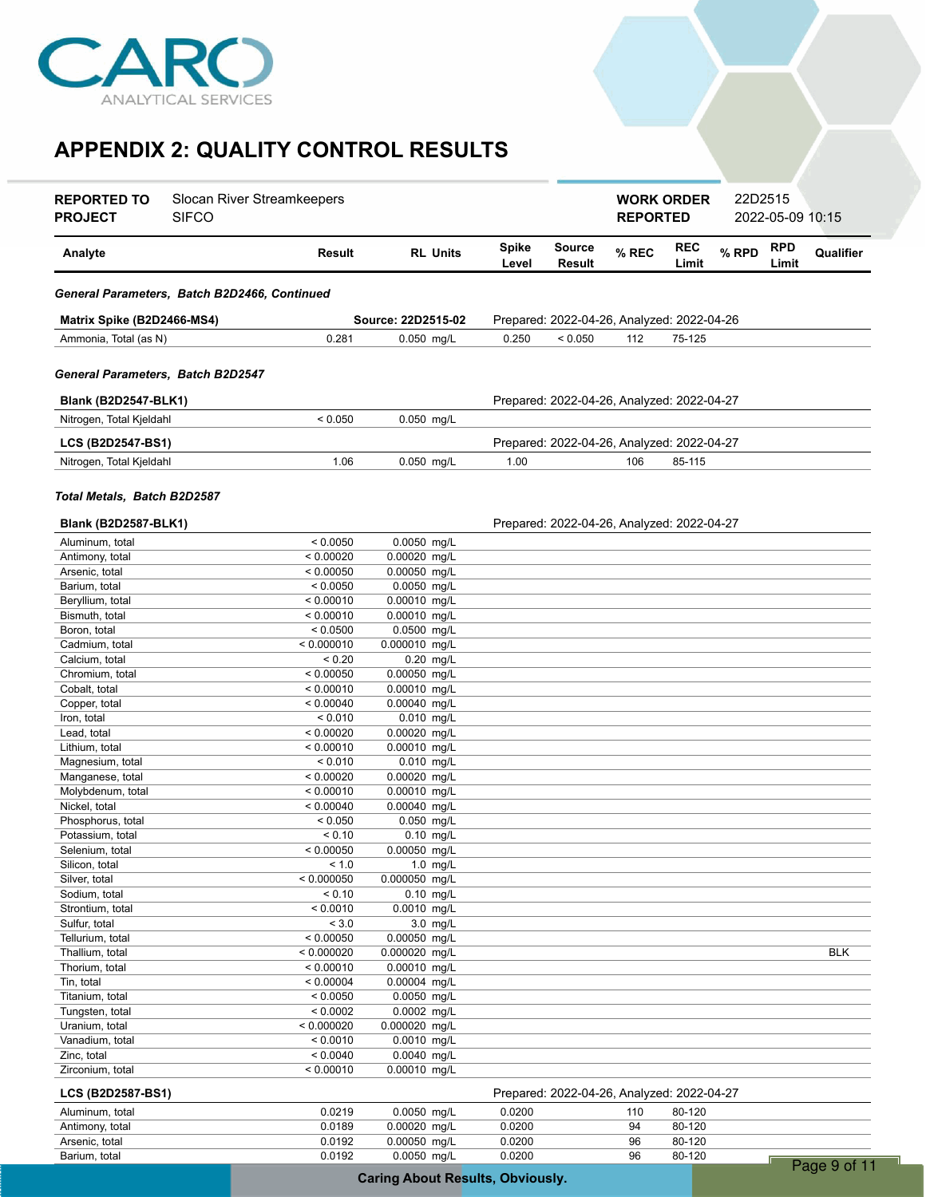

| <b>REPORTED TO</b><br><b>SIFCO</b><br><b>PROJECT</b> | Slocan River Streamkeepers |                                |                 |                |                                            | <b>REPORTED</b> | <b>WORK ORDER</b>   | 22D2515 | 2022-05-09 10:15    |              |
|------------------------------------------------------|----------------------------|--------------------------------|-----------------|----------------|--------------------------------------------|-----------------|---------------------|---------|---------------------|--------------|
| Analyte                                              | Result                     |                                | <b>RL Units</b> | Spike<br>Level | <b>Source</b><br>Result                    | % REC           | <b>REC</b><br>Limit | % RPD   | <b>RPD</b><br>Limit | Qualifier    |
| General Parameters, Batch B2D2466, Continued         |                            |                                |                 |                |                                            |                 |                     |         |                     |              |
| Matrix Spike (B2D2466-MS4)                           |                            | Source: 22D2515-02             |                 |                | Prepared: 2022-04-26, Analyzed: 2022-04-26 |                 |                     |         |                     |              |
| Ammonia, Total (as N)                                | 0.281                      | 0.050 mg/L                     |                 | 0.250          | < 0.050                                    | 112             | 75-125              |         |                     |              |
| General Parameters,  Batch B2D2547                   |                            |                                |                 |                |                                            |                 |                     |         |                     |              |
| <b>Blank (B2D2547-BLK1)</b>                          |                            |                                |                 |                | Prepared: 2022-04-26, Analyzed: 2022-04-27 |                 |                     |         |                     |              |
| Nitrogen, Total Kjeldahl                             | < 0.050                    | 0.050 mg/L                     |                 |                |                                            |                 |                     |         |                     |              |
| LCS (B2D2547-BS1)                                    |                            |                                |                 |                | Prepared: 2022-04-26, Analyzed: 2022-04-27 |                 |                     |         |                     |              |
| Nitrogen, Total Kjeldahl                             | 1.06                       | 0.050 mg/L                     |                 | 1.00           |                                            | 106             | 85-115              |         |                     |              |
| Total Metals, Batch B2D2587                          |                            |                                |                 |                |                                            |                 |                     |         |                     |              |
| Blank (B2D2587-BLK1)                                 |                            |                                |                 |                | Prepared: 2022-04-26, Analyzed: 2022-04-27 |                 |                     |         |                     |              |
| Aluminum, total                                      | < 0.0050                   | 0.0050 mg/L                    |                 |                |                                            |                 |                     |         |                     |              |
| Antimony, total<br>Arsenic, total                    | < 0.00020<br>< 0.00050     | 0.00020 mg/L<br>$0.00050$ mg/L |                 |                |                                            |                 |                     |         |                     |              |
| Barium, total                                        | < 0.0050                   | 0.0050 mg/L                    |                 |                |                                            |                 |                     |         |                     |              |
| Beryllium, total                                     | < 0.00010                  | 0.00010 mg/L                   |                 |                |                                            |                 |                     |         |                     |              |
| Bismuth, total                                       | < 0.00010                  | 0.00010 mg/L                   |                 |                |                                            |                 |                     |         |                     |              |
| Boron, total                                         | < 0.0500                   | 0.0500 mg/L                    |                 |                |                                            |                 |                     |         |                     |              |
| Cadmium, total                                       | < 0.000010                 | 0.000010 mg/L                  |                 |                |                                            |                 |                     |         |                     |              |
| Calcium, total<br>Chromium, total                    | < 0.20<br>< 0.00050        | $0.20$ mg/L<br>0.00050 mg/L    |                 |                |                                            |                 |                     |         |                     |              |
| Cobalt, total                                        | < 0.00010                  | 0.00010 mg/L                   |                 |                |                                            |                 |                     |         |                     |              |
| Copper, total                                        | < 0.00040                  | 0.00040 mg/L                   |                 |                |                                            |                 |                     |         |                     |              |
| Iron, total                                          | < 0.010                    | 0.010 mg/L                     |                 |                |                                            |                 |                     |         |                     |              |
| Lead, total                                          | < 0.00020                  | 0.00020 mg/L                   |                 |                |                                            |                 |                     |         |                     |              |
| Lithium, total                                       | < 0.00010                  | 0.00010 mg/L                   |                 |                |                                            |                 |                     |         |                     |              |
| Magnesium, total                                     | < 0.010                    | 0.010 mg/L                     |                 |                |                                            |                 |                     |         |                     |              |
| Manganese, total                                     | < 0.00020                  | 0.00020 mg/L                   |                 |                |                                            |                 |                     |         |                     |              |
| Molybdenum, total<br>Nickel, total                   | < 0.00010<br>< 0.00040     | 0.00010 mg/L<br>0.00040 mg/L   |                 |                |                                            |                 |                     |         |                     |              |
| Phosphorus, total                                    | < 0.050                    | 0.050 mg/L                     |                 |                |                                            |                 |                     |         |                     |              |
| Potassium, total                                     | < 0.10                     | $0.10$ mg/L                    |                 |                |                                            |                 |                     |         |                     |              |
| Selenium, total                                      | < 0.00050                  | $0.00050$ mg/L                 |                 |                |                                            |                 |                     |         |                     |              |
| Silicon, total                                       | < 1.0                      |                                | $1.0$ mg/L      |                |                                            |                 |                     |         |                     |              |
| Silver, total                                        | < 0.000050                 | 0.000050 mg/L                  |                 |                |                                            |                 |                     |         |                     |              |
| Sodium, total                                        | < 0.10                     | $0.10$ mg/L                    |                 |                |                                            |                 |                     |         |                     |              |
| Strontium, total<br>Sulfur, total                    | < 0.0010<br>< 3.0          | 0.0010 mg/L                    | 3.0 mg/L        |                |                                            |                 |                     |         |                     |              |
| Tellurium, total                                     | < 0.00050                  | 0.00050 mg/L                   |                 |                |                                            |                 |                     |         |                     |              |
| Thallium, total                                      | < 0.000020                 | 0.000020 mg/L                  |                 |                |                                            |                 |                     |         |                     | <b>BLK</b>   |
| Thorium, total                                       | < 0.00010                  | 0.00010 mg/L                   |                 |                |                                            |                 |                     |         |                     |              |
| Tin, total                                           | < 0.00004                  | 0.00004 mg/L                   |                 |                |                                            |                 |                     |         |                     |              |
| Titanium, total                                      | < 0.0050                   | 0.0050 mg/L                    |                 |                |                                            |                 |                     |         |                     |              |
| Tungsten, total                                      | < 0.0002                   | 0.0002 mg/L                    |                 |                |                                            |                 |                     |         |                     |              |
| Uranium, total<br>Vanadium, total                    | < 0.000020<br>< 0.0010     | 0.000020 mg/L<br>0.0010 mg/L   |                 |                |                                            |                 |                     |         |                     |              |
| Zinc, total                                          | < 0.0040                   | 0.0040 mg/L                    |                 |                |                                            |                 |                     |         |                     |              |
| Zirconium, total                                     | < 0.00010                  | 0.00010 mg/L                   |                 |                |                                            |                 |                     |         |                     |              |
| LCS (B2D2587-BS1)                                    |                            |                                |                 |                | Prepared: 2022-04-26, Analyzed: 2022-04-27 |                 |                     |         |                     |              |
| Aluminum, total                                      | 0.0219                     | 0.0050 mg/L                    |                 | 0.0200         |                                            | 110             | 80-120              |         |                     |              |
| Antimony, total                                      | 0.0189                     | 0.00020 mg/L                   |                 | 0.0200         |                                            | 94              | 80-120              |         |                     |              |
| Arsenic, total                                       | 0.0192                     | 0.00050 mg/L                   |                 | 0.0200         |                                            | 96              | 80-120              |         |                     |              |
| Barium, total                                        | 0.0192                     | 0.0050 mg/L                    |                 | 0.0200         |                                            | 96              | 80-120              |         |                     | Page 9 of 11 |
|                                                      |                            |                                |                 |                |                                            |                 |                     |         |                     |              |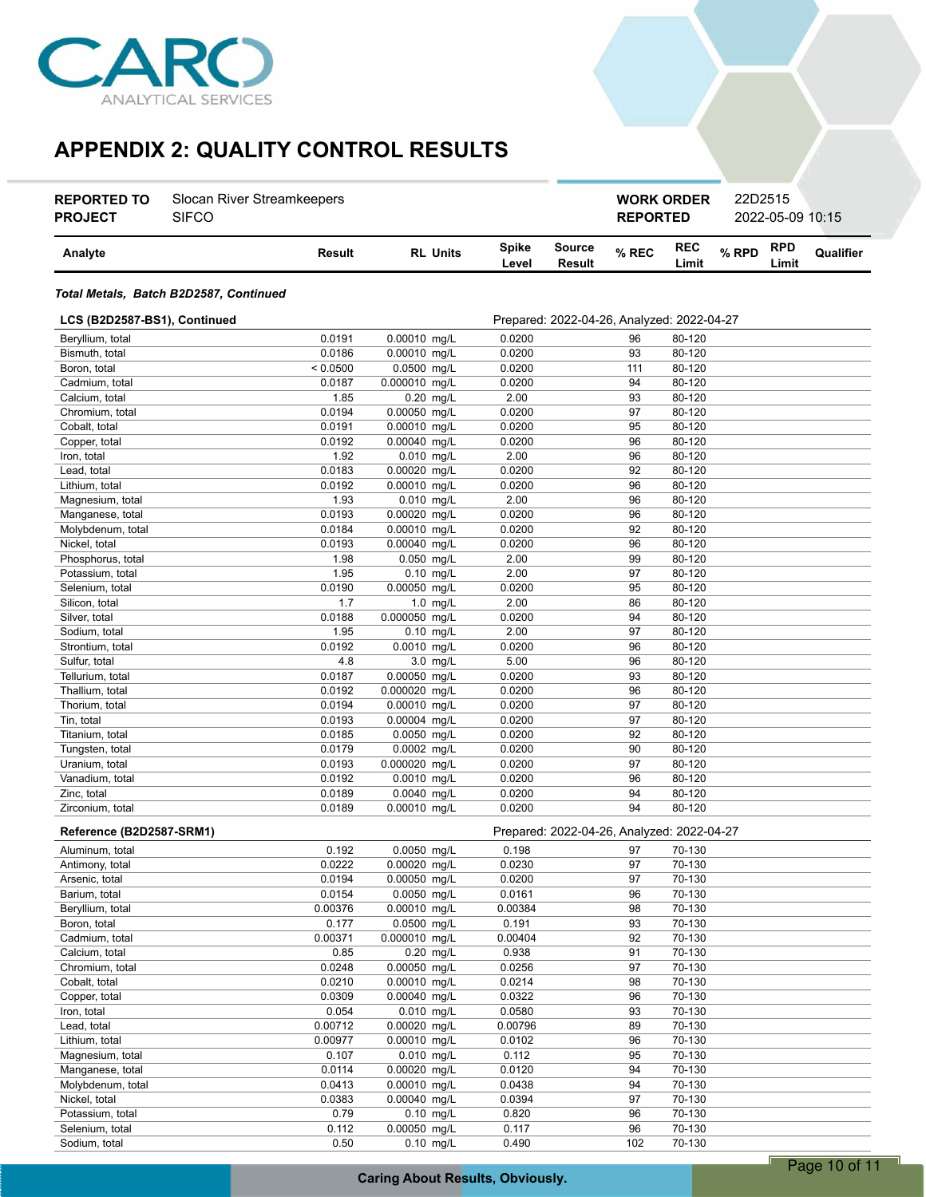

| <b>REPORTED TO</b><br><b>PROJECT</b> | Slocan River Streamkeepers<br><b>SIFCO</b> |                  |                              |                       |                                            |          | <b>WORK ORDER</b><br><b>REPORTED</b> |       | 22D2515<br>2022-05-09 10:15 |           |
|--------------------------------------|--------------------------------------------|------------------|------------------------------|-----------------------|--------------------------------------------|----------|--------------------------------------|-------|-----------------------------|-----------|
| Analyte                              |                                            | Result           | <b>RL Units</b>              | <b>Spike</b><br>Level | Source<br>Result                           | % REC    | <b>REC</b><br>Limit                  | % RPD | <b>RPD</b><br>Limit         | Qualifier |
|                                      | Total Metals, Batch B2D2587, Continued     |                  |                              |                       |                                            |          |                                      |       |                             |           |
| LCS (B2D2587-BS1), Continued         |                                            |                  |                              |                       | Prepared: 2022-04-26, Analyzed: 2022-04-27 |          |                                      |       |                             |           |
| Beryllium, total                     |                                            | 0.0191           | 0.00010 mg/L                 | 0.0200                |                                            | 96       | 80-120                               |       |                             |           |
| Bismuth, total                       |                                            | 0.0186           | 0.00010 mg/L                 | 0.0200                |                                            | 93       | 80-120                               |       |                             |           |
| Boron, total                         |                                            | < 0.0500         | 0.0500 mg/L                  | 0.0200                |                                            | 111      | 80-120                               |       |                             |           |
| Cadmium, total                       |                                            | 0.0187           | 0.000010 mg/L                | 0.0200                |                                            | 94       | 80-120                               |       |                             |           |
| Calcium, total                       |                                            | 1.85             | $0.20$ mg/L                  | 2.00                  |                                            | 93       | 80-120                               |       |                             |           |
| Chromium, total                      |                                            | 0.0194           | 0.00050 mg/L                 | 0.0200                |                                            | 97       | 80-120                               |       |                             |           |
| Cobalt, total                        |                                            | 0.0191           | 0.00010 mg/L                 | 0.0200                |                                            | 95       | 80-120                               |       |                             |           |
| Copper, total                        |                                            | 0.0192           | 0.00040 mg/L                 | 0.0200                |                                            | 96       | 80-120                               |       |                             |           |
| Iron, total                          |                                            | 1.92             | $0.010$ mg/L                 | 2.00                  |                                            | 96       | 80-120                               |       |                             |           |
| Lead, total                          |                                            | 0.0183           | 0.00020 mg/L                 | 0.0200                |                                            | 92       | 80-120                               |       |                             |           |
| Lithium, total                       |                                            | 0.0192           | 0.00010 mg/L                 | 0.0200                |                                            | 96       | 80-120                               |       |                             |           |
| Magnesium, total                     |                                            | 1.93             | 0.010 mg/L                   | 2.00                  |                                            | 96       | 80-120                               |       |                             |           |
| Manganese, total                     |                                            | 0.0193           | 0.00020 mg/L                 | 0.0200                |                                            | 96       | 80-120                               |       |                             |           |
| Molybdenum, total                    |                                            | 0.0184<br>0.0193 | 0.00010 mg/L<br>0.00040 mg/L | 0.0200                |                                            | 92<br>96 | 80-120<br>80-120                     |       |                             |           |
| Nickel, total<br>Phosphorus, total   |                                            | 1.98             | $0.050$ mg/L                 | 0.0200<br>2.00        |                                            | 99       | 80-120                               |       |                             |           |
| Potassium, total                     |                                            | 1.95             | 0.10 mg/L                    | 2.00                  |                                            | 97       | 80-120                               |       |                             |           |
| Selenium, total                      |                                            | 0.0190           | 0.00050 mg/L                 | 0.0200                |                                            | 95       | 80-120                               |       |                             |           |
| Silicon, total                       |                                            | 1.7              | $1.0$ mg/L                   | 2.00                  |                                            | 86       | 80-120                               |       |                             |           |
| Silver, total                        |                                            | 0.0188           | 0.000050 mg/L                | 0.0200                |                                            | 94       | 80-120                               |       |                             |           |
| Sodium, total                        |                                            | 1.95             | $0.10$ mg/L                  | 2.00                  |                                            | 97       | 80-120                               |       |                             |           |
| Strontium, total                     |                                            | 0.0192           | 0.0010 mg/L                  | 0.0200                |                                            | 96       | 80-120                               |       |                             |           |
| Sulfur, total                        |                                            | 4.8              | 3.0 mg/L                     | 5.00                  |                                            | 96       | 80-120                               |       |                             |           |
| Tellurium, total                     |                                            | 0.0187           | 0.00050 mg/L                 | 0.0200                |                                            | 93       | 80-120                               |       |                             |           |
| Thallium, total                      |                                            | 0.0192           | 0.000020 mg/L                | 0.0200                |                                            | 96       | 80-120                               |       |                             |           |
| Thorium, total                       |                                            | 0.0194           | 0.00010 mg/L                 | 0.0200                |                                            | 97       | 80-120                               |       |                             |           |
| Tin, total                           |                                            | 0.0193           | 0.00004 mg/L                 | 0.0200                |                                            | 97       | 80-120                               |       |                             |           |
| Titanium, total                      |                                            | 0.0185           | 0.0050 mg/L                  | 0.0200                |                                            | 92       | 80-120                               |       |                             |           |
| Tungsten, total                      |                                            | 0.0179           | 0.0002 mg/L                  | 0.0200                |                                            | 90       | 80-120                               |       |                             |           |
| Uranium, total                       |                                            | 0.0193           | 0.000020 mg/L                | 0.0200                |                                            | 97       | 80-120                               |       |                             |           |
| Vanadium, total                      |                                            | 0.0192           | $0.0010$ mg/L                | 0.0200                |                                            | 96       | 80-120                               |       |                             |           |
| Zinc, total                          |                                            | 0.0189           | $0.0040$ mg/L                | 0.0200                |                                            | 94       | 80-120                               |       |                             |           |
| Zirconium, total                     |                                            | 0.0189           | 0.00010 mg/L                 | 0.0200                |                                            | 94       | 80-120                               |       |                             |           |
| Reference (B2D2587-SRM1)             |                                            |                  |                              |                       | Prepared: 2022-04-26, Analyzed: 2022-04-27 |          |                                      |       |                             |           |
| Aluminum, total                      |                                            | 0.192            | $0.0050$ mg/L                | 0.198                 |                                            | 97       | 70-130                               |       |                             |           |
| Antimony, total                      |                                            | 0.0222           | 0.00020 mg/L                 | 0.0230                |                                            | 97       | 70-130                               |       |                             |           |
| Arsenic, total                       |                                            | 0.0194           | 0.00050 mg/L                 | 0.0200                |                                            | 97       | 70-130                               |       |                             |           |
| Barium, total                        |                                            | 0.0154           | 0.0050 mg/L                  | 0.0161                |                                            | 96       | 70-130                               |       |                             |           |
| Beryllium, total                     |                                            | 0.00376          | 0.00010 mg/L                 | 0.00384               |                                            | 98       | 70-130                               |       |                             |           |
| Boron, total                         |                                            | 0.177            | 0.0500 mg/L                  | 0.191                 |                                            | 93       | 70-130                               |       |                             |           |
| Cadmium, total                       |                                            | 0.00371          | 0.000010 mg/L                | 0.00404               |                                            | 92       | 70-130                               |       |                             |           |
| Calcium, total                       |                                            | 0.85             | 0.20 mg/L                    | 0.938                 |                                            | 91       | 70-130                               |       |                             |           |
| Chromium, total                      |                                            | 0.0248           | 0.00050 mg/L                 | 0.0256                |                                            | 97       | 70-130                               |       |                             |           |
| Cobalt, total                        |                                            | 0.0210           | 0.00010 mg/L                 | 0.0214                |                                            | 98       | 70-130                               |       |                             |           |
| Copper, total                        |                                            | 0.0309           | 0.00040 mg/L                 | 0.0322                |                                            | 96       | 70-130                               |       |                             |           |
| Iron, total                          |                                            | 0.054            | 0.010 mg/L                   | 0.0580                |                                            | 93       | 70-130                               |       |                             |           |
| Lead, total                          |                                            | 0.00712          | 0.00020 mg/L                 | 0.00796               |                                            | 89       | 70-130                               |       |                             |           |
| Lithium, total                       |                                            | 0.00977<br>0.107 | 0.00010 mg/L                 | 0.0102                |                                            | 96       | 70-130<br>70-130                     |       |                             |           |
| Magnesium, total<br>Manganese, total |                                            | 0.0114           | 0.010 mg/L<br>0.00020 mg/L   | 0.112<br>0.0120       |                                            | 95<br>94 | 70-130                               |       |                             |           |
| Molybdenum, total                    |                                            | 0.0413           | 0.00010 mg/L                 | 0.0438                |                                            | 94       | 70-130                               |       |                             |           |
| Nickel, total                        |                                            | 0.0383           | 0.00040 mg/L                 | 0.0394                |                                            | 97       | 70-130                               |       |                             |           |
| Potassium, total                     |                                            | 0.79             | $0.10$ mg/L                  | 0.820                 |                                            | 96       | 70-130                               |       |                             |           |
| Selenium, total                      |                                            | 0.112            | 0.00050 mg/L                 | 0.117                 |                                            | 96       | 70-130                               |       |                             |           |

Sodium, total 0.50 0.10 mg/L 0.490 102 70-130